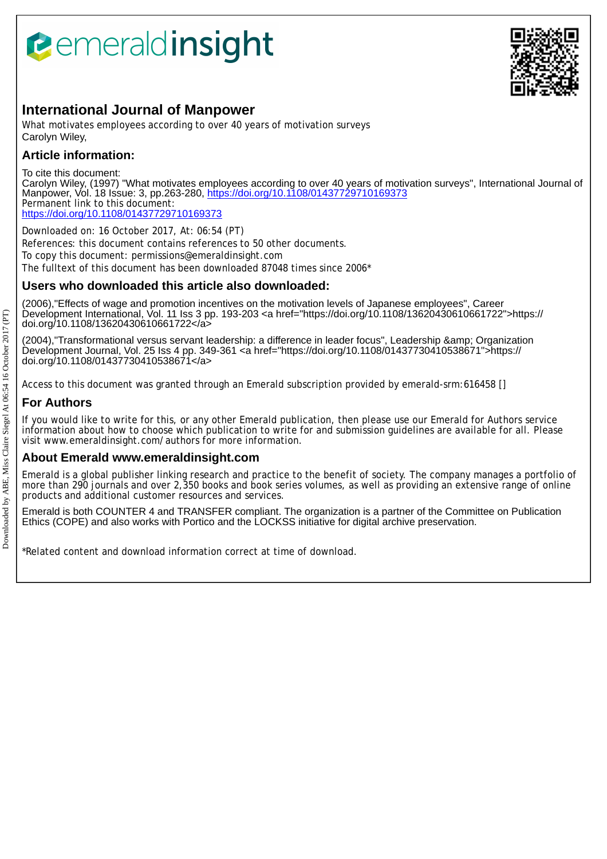# **B**emeraldinsight



# **International Journal of Manpower**

What motivates employees according to over 40 years of motivation surveys Carolyn Wiley,

# **Article information:**

To cite this document:

Carolyn Wiley, (1997) "What motivates employees according to over 40 years of motivation surveys", International Journal of Manpower, Vol. 18 Issue: 3, pp.263-280,<https://doi.org/10.1108/01437729710169373> Permanent link to this document: <https://doi.org/10.1108/01437729710169373>

Downloaded on: 16 October 2017, At: 06:54 (PT) References: this document contains references to 50 other documents. To copy this document: permissions@emeraldinsight.com The fulltext of this document has been downloaded 87048 times since 2006\*

# **Users who downloaded this article also downloaded:**

(2006),"Effects of wage and promotion incentives on the motivation levels of Japanese employees", Career Development International, Vol. 11 Iss 3 pp. 193-203 <a href="https://doi.org/10.1108/13620430610661722">https:// doi.org/10.1108/13620430610661722</a>

(2004),"Transformational versus servant leadership: a difference in leader focus", Leadership & amp; Organization Development Journal, Vol. 25 Iss 4 pp. 349-361 <a href="https://doi.org/10.1108/01437730410538671">https:// doi.org/10.1108/01437730410538671</a>

Access to this document was granted through an Emerald subscription provided by emerald-srm:616458 []

# **For Authors**

If you would like to write for this, or any other Emerald publication, then please use our Emerald for Authors service information about how to choose which publication to write for and submission guidelines are available for all. Please visit www.emeraldinsight.com/authors for more information.

# **About Emerald www.emeraldinsight.com**

Emerald is a global publisher linking research and practice to the benefit of society. The company manages a portfolio of more than 290 journals and over 2,350 books and book series volumes, as well as providing an extensive range of online products and additional customer resources and services.

Emerald is both COUNTER 4 and TRANSFER compliant. The organization is a partner of the Committee on Publication Ethics (COPE) and also works with Portico and the LOCKSS initiative for digital archive preservation.

\*Related content and download information correct at time of download.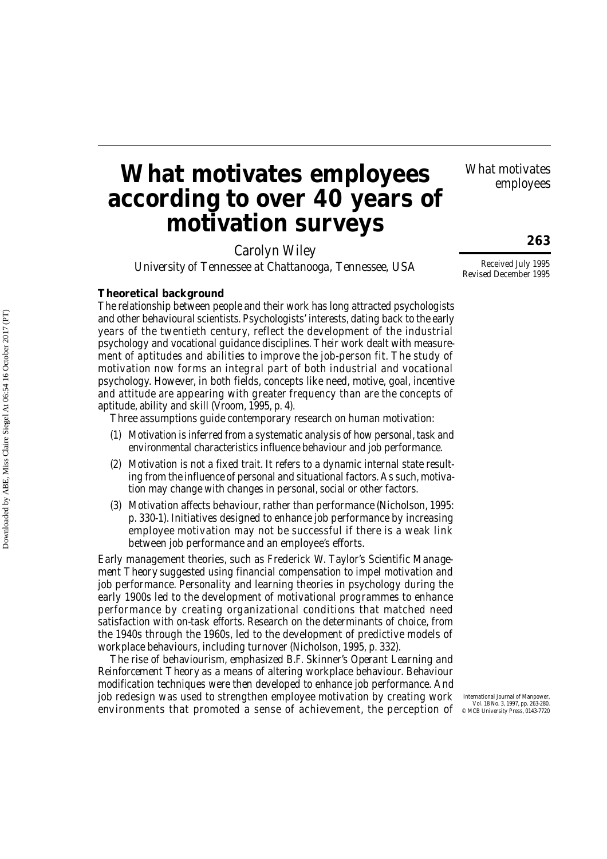# **What motivates employees according to over 40 years of motivation surveys**

Carolyn Wiley

*University of Tennessee at Chattanooga, Tennessee, USA*

# **Theoretical background**

The relationship between people and their work has long attracted psychologists and other behavioural scientists. Psychologists' interests, dating back to the early years of the twentieth century, reflect the development of the industrial psychology and vocational guidance disciplines. Their work dealt with measurement of aptitudes and abilities to improve the job-person fit. The study of motivation now forms an integral part of both industrial and vocational psychology. However, in both fields, concepts like need, motive, goal, incentive and attitude are appearing with greater frequency than are the concepts of aptitude, ability and skill (Vroom, 1995, p. 4).

Three assumptions guide contemporary research on human motivation:

- (1) Motivation is inferred from a systematic analysis of how personal, task and environmental characteristics influence behaviour and job performance.
- (2) Motivation is not a fixed trait. It refers to a dynamic internal state resulting from the influence of personal and situational factors. As such, motivation may change with changes in personal, social or other factors.
- (3) Motivation affects behaviour, rather than performance (Nicholson, 1995: p. 330-1). Initiatives designed to enhance job performance by increasing employee motivation may not be successful if there is a weak link between job performance and an employee's efforts.

Early management theories, such as Frederick W. Taylor's *Scientific Management Theory* suggested using financial compensation to impel motivation and job performance. Personality and learning theories in psychology during the early 1900s led to the development of motivational programmes to enhance performance by creating organizational conditions that matched need satisfaction with on-task efforts. Research on the determinants of choice, from the 1940s through the 1960s, led to the development of predictive models of workplace behaviours, including turnover (Nicholson, 1995, p. 332).

The rise of behaviourism, emphasized B.F. Skinner's *Operant Learning and Reinforcement Theory* as a means of altering workplace behaviour. Behaviour modification techniques were then developed to enhance job performance. And job redesign was used to strengthen employee motivation by creating work Fragger and the perception of  $\sigma$  vol. 18 No. 3, 1997, pp. 263-280.<br>
Environments that promoted a sense of achievement, the perception of  $\sigma$ MCB University Press, 0143-7720

International Journal of Manpower,

Received July 1995 Revised December 1995

What motivates employees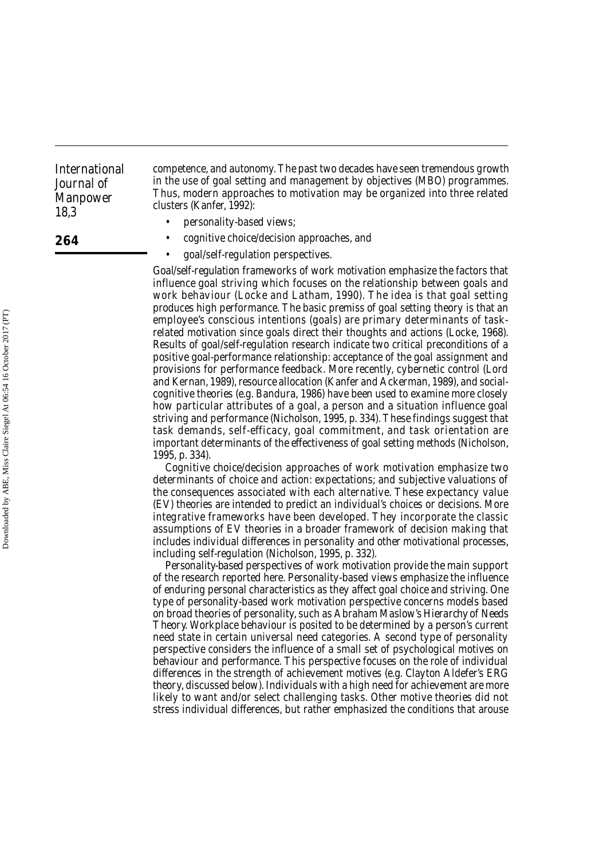| International |  |
|---------------|--|
| Journal of    |  |
| Manpower      |  |
| 18,3          |  |

**264**

competence, and autonomy. The past two decades have seen tremendous growth in the use of goal setting and management by objectives (MBO) programmes. Thus, modern approaches to motivation may be organized into three related clusters (Kanfer, 1992):

- personality-based views;
- cognitive choice/decision approaches, and
- goal/self-regulation perspectives.

*Goal/self-regulation* frameworks of work motivation emphasize the factors that influence goal striving which focuses on the relationship between goals and work behaviour (Locke and Latham, 1990). The idea is that goal setting produces high performance. The basic premiss of goal setting theory is that an employee's conscious intentions (goals) are primary determinants of taskrelated motivation since goals direct their thoughts and actions (Locke, 1968). Results of goal/self-regulation research indicate two critical preconditions of a positive goal-performance relationship: acceptance of the goal assignment and provisions for performance feedback. More recently, cybernetic control (Lord and Kernan, 1989), resource allocation (Kanfer and Ackerman, 1989), and socialcognitive theories (e.g. Bandura, 1986) have been used to examine more closely how particular attributes of a goal, a person and a situation influence goal striving and performance (Nicholson, 1995, p. 334). These findings suggest that task demands, self-efficacy, goal commitment, and task orientation are important determinants of the effectiveness of goal setting methods (Nicholson, 1995, p. 334).

*Cognitive choice/decision* approaches of work motivation emphasize two determinants of choice and action: expectations; and subjective valuations of the consequences associated with each alternative. These expectancy value (EV) theories are intended to predict an individual's choices or decisions. More integrative frameworks have been developed. They incorporate the classic assumptions of EV theories in a broader framework of decision making that includes individual differences in personality and other motivational processes, including self-regulation (Nicholson, 1995, p. 332).

*Personality-based* perspectives of work motivation provide the main support of the research reported here. Personality-based views emphasize the influence of enduring personal characteristics as they affect goal choice and striving. One type of personality-based work motivation perspective concerns models based on broad theories of personality, such as Abraham Maslow's *Hierarchy of Needs Theory.* Workplace behaviour is posited to be determined by a person's current need state in certain universal need categories. A second type of personality perspective considers the influence of a small set of psychological motives on behaviour and performance. This perspective focuses on the role of individual differences in the strength of achievement motives (e.g. Clayton Aldefer's *ERG theory*, discussed below). Individuals with a high need for achievement are more likely to want and/or select challenging tasks. Other motive theories did not stress individual differences, but rather emphasized the conditions that arouse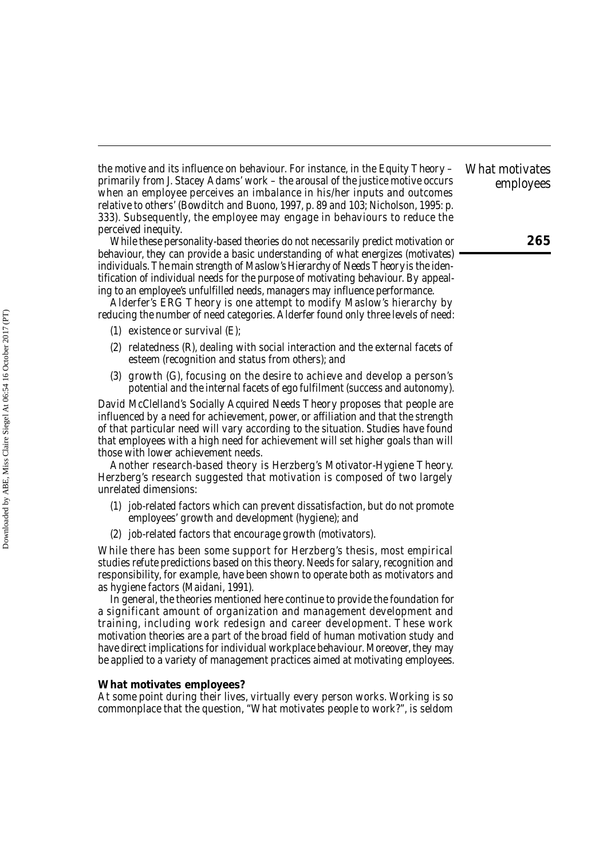the motive and its influence on behaviour. For instance, in the *Equity Theory* – primarily from J. Stacey Adams' work – the arousal of the justice motive occurs when an employee perceives an imbalance in his/her inputs and outcomes relative to others' (Bowditch and Buono, 1997, p. 89 and 103; Nicholson, 1995: p. 333). Subsequently, the employee may engage in behaviours to reduce the perceived inequity.

While these personality-based theories do not necessarily predict motivation or behaviour, they can provide a basic understanding of what energizes (motivates) individuals. The main strength of Maslow's *Hierarchy of Needs Theory* is the identification of individual needs for the purpose of motivating behaviour. By appealing to an employee's unfulfilled needs, managers may influence performance.

Alderfer's *ERG Theory* is one attempt to modify Maslow's hierarchy by reducing the number of need categories. Alderfer found only three levels of need:

- (1) existence or survival (E);
- (2) relatedness (R), dealing with social interaction and the external facets of esteem (recognition and status from others); and
- (3) growth (G), focusing on the desire to achieve and develop a person's potential and the internal facets of ego fulfilment (success and autonomy).

David McClelland's *Socially Acquired Needs Theory* proposes that people are influenced by a need for achievement, power, or affiliation and that the strength of that particular need will vary according to the situation. Studies have found that employees with a high need for achievement will set higher goals than will those with lower achievement needs.

Another research-based theory is Herzberg's *Motivator-Hygiene Theory.* Herzberg's research suggested that motivation is composed of two largely unrelated dimensions:

- (1) job-related factors which can prevent dissatisfaction, but do not promote employees' growth and development (hygiene); and
- (2) job-related factors that encourage growth (motivators).

While there has been some support for Herzberg's thesis, most empirical studies refute predictions based on this theory. Needs for salary, recognition and responsibility, for example, have been shown to operate both as motivators and as hygiene factors (Maidani, 1991).

In general, the theories mentioned here continue to provide the foundation for a significant amount of organization and management development and training, including work redesign and career development. These work motivation theories are a part of the broad field of human motivation study and have direct implications for individual workplace behaviour. Moreover, they may be applied to a variety of management practices aimed at motivating employees.

# **What motivates employees?**

At some point during their lives, virtually every person works. Working is so commonplace that the question, "What motivates people to work?", is seldom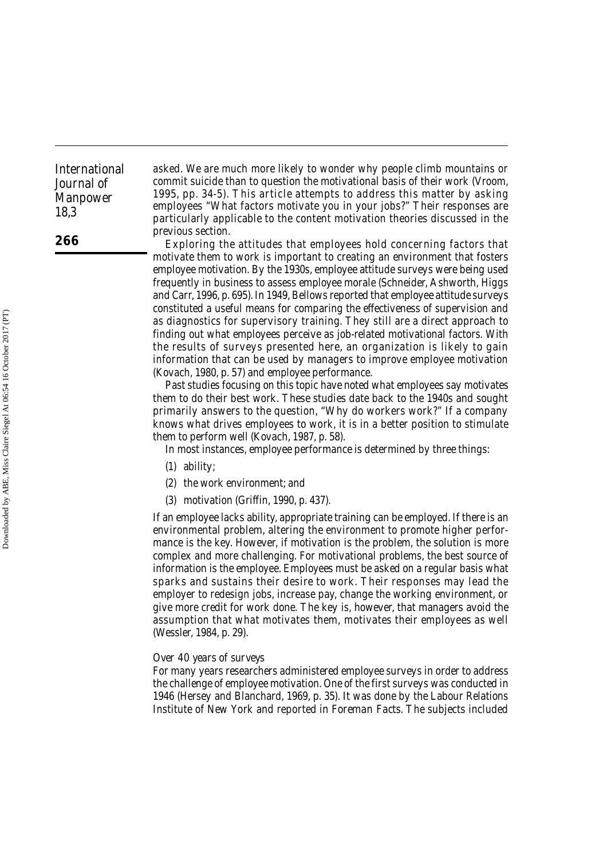**266**

asked. We are much more likely to wonder why people climb mountains or commit suicide than to question the motivational basis of their work (Vroom, 1995, pp. 34-5). This article attempts to address this matter by asking employees "What factors motivate you in your jobs?" Their responses are particularly applicable to the content motivation theories discussed in the previous section.

Exploring the attitudes that employees hold concerning factors that motivate them to work is important to creating an environment that fosters employee motivation. By the 1930s, employee attitude surveys were being used frequently in business to assess employee morale (Schneider, Ashworth, Higgs and Carr, 1996, p. 695). In 1949, Bellows reported that employee attitude surveys constituted a useful means for comparing the effectiveness of supervision and as diagnostics for supervisory training. They still are a direct approach to finding out what employees perceive as job-related motivational factors. With the results of surveys presented here, an organization is likely to gain information that can be used by managers to improve employee motivation (Kovach, 1980, p. 57) and employee performance.

Past studies focusing on this topic have noted what employees say motivates them to do their best work. These studies date back to the 1940s and sought primarily answers to the question, "Why do workers work?" If a company knows what drives employees to work, it is in a better position to stimulate them to perform well (Kovach, 1987, p. 58).

In most instances, employee performance is determined by three things:

- (1) ability;
- (2) the work environment; and
- (3) motivation (Griffin, 1990, p. 437).

If an employee lacks ability, appropriate training can be employed. If there is an environmental problem, altering the environment to promote higher performance is the key. However, if motivation is the problem, the solution is more complex and more challenging. For motivational problems, the best source of information is the employee. Employees must be asked on a regular basis what sparks and sustains their desire to work. Their responses may lead the employer to redesign jobs, increase pay, change the working environment, or give more credit for work done. The key is, however, that managers avoid the assumption that what motivates *them,* motivates their employees as well (Wessler, 1984, p. 29).

## *Over 40 years of surveys*

For many years researchers administered employee surveys in order to address the challenge of employee motivation. One of the first surveys was conducted in 1946 (Hersey and Blanchard, 1969, p. 35). It was done by the Labour Relations Institute of New York and reported in *Foreman Facts*. The subjects included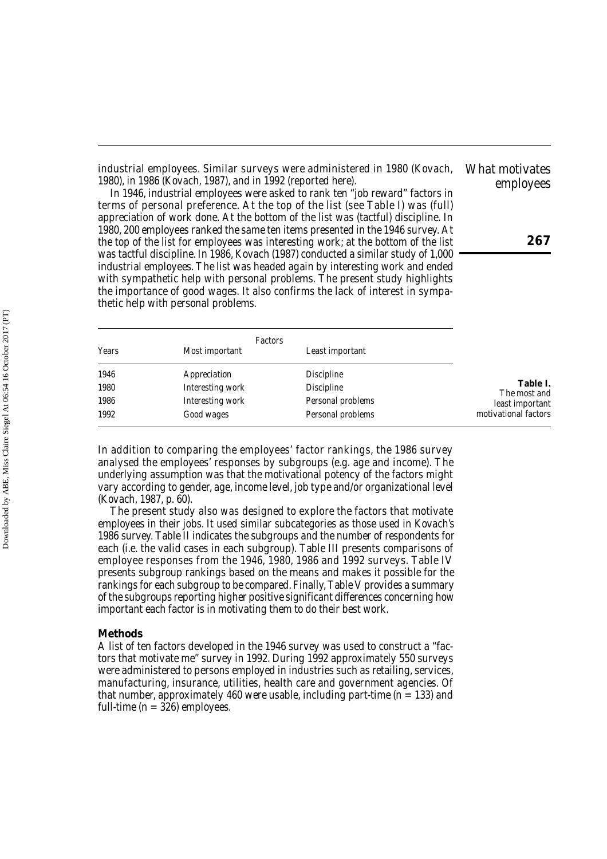industrial employees. Similar surveys were administered in 1980 (Kovach, 1980), in 1986 (Kovach, 1987), and in 1992 (reported here).

In 1946, industrial employees were asked to rank ten "job reward" factors in terms of personal preference. At the top of the list (see Table I) was (full) appreciation of work done. At the bottom of the list was (tactful) discipline. In 1980, 200 employees ranked the same ten items presented in the 1946 survey. At the top of the list for employees was interesting work; at the bottom of the list was tactful discipline. In 1986, Kovach (1987) conducted a similar study of 1,000 industrial employees. The list was headed again by interesting work and ended with sympathetic help with personal problems. The present study highlights the importance of good wages. It also confirms the lack of interest in sympathetic help with personal problems.

| Years | Factors<br>Most important | Least important   |                          |
|-------|---------------------------|-------------------|--------------------------|
| 1946  | Appreciation              | Discipline        |                          |
| 1980  | Interesting work          | Discipline        | Table I.<br>The most and |
| 1986  | Interesting work          | Personal problems | least important          |
| 1992  | Good wages                | Personal problems | motivational factors     |

In addition to comparing the employees' factor rankings, the 1986 survey analysed the employees' responses by subgroups (e.g. age and income). The underlying assumption was that the motivational potency of the factors might vary according to gender, age, income level, job type and/or organizational level (Kovach, 1987, p. 60).

The present study also was designed to explore the factors that motivate employees in their jobs. It used similar subcategories as those used in Kovach's 1986 survey. Table II indicates the subgroups and the number of respondents for each (i.e. the valid cases in each subgroup). Table III presents comparisons of employee responses from the 1946, 1980, 1986 and 1992 surveys. Table IV presents subgroup rankings based on the means and makes it possible for the rankings for each subgroup to be compared. Finally, Table V provides a summary of the subgroups reporting higher positive significant differences concerning how important each factor is in motivating them to do their best work.

#### **Methods**

A list of ten factors developed in the 1946 survey was used to construct a "factors that motivate me" survey in 1992. During 1992 approximately 550 surveys were administered to persons employed in industries such as retailing, services, manufacturing, insurance, utilities, health care and government agencies. Of that number, approximately 460 were usable, including part-time  $(n = 133)$  and full-time ( $n = 326$ ) employees.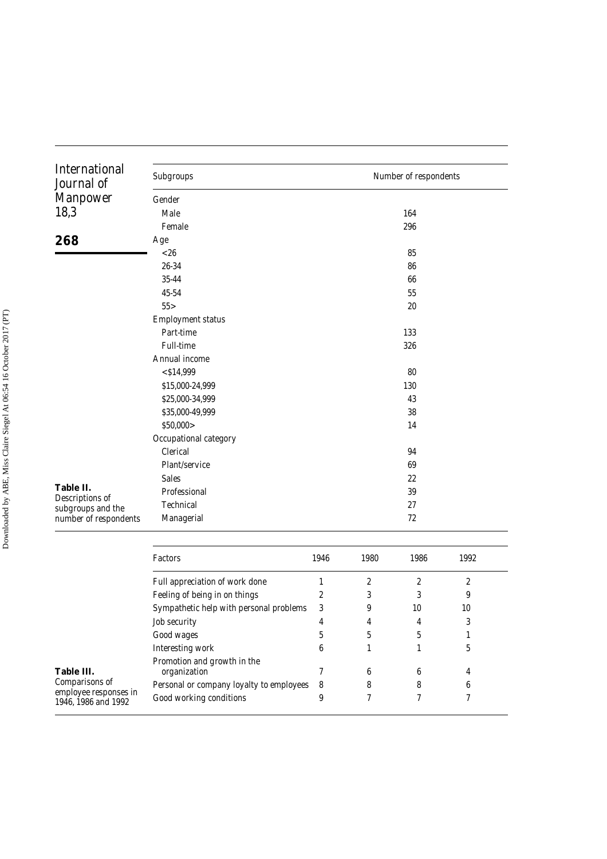| International                  |                                                                     |                  |                       |                  |            |  |
|--------------------------------|---------------------------------------------------------------------|------------------|-----------------------|------------------|------------|--|
| Journal of                     | Subgroups                                                           |                  | Number of respondents |                  |            |  |
| <b>Manpower</b>                | Gender                                                              |                  |                       |                  |            |  |
| 18,3                           | Male                                                                |                  |                       | 164              |            |  |
|                                | Female                                                              |                  |                       | 296              |            |  |
| 268                            | Age                                                                 |                  |                       |                  |            |  |
|                                | ${<}26$                                                             |                  |                       | 85               |            |  |
|                                | 26-34                                                               |                  |                       | 86               |            |  |
|                                | 35-44                                                               |                  |                       | 66               |            |  |
|                                | 45-54                                                               |                  |                       | 55               |            |  |
|                                | 55>                                                                 |                  |                       | 20               |            |  |
|                                | Employment status                                                   |                  |                       |                  |            |  |
|                                | Part-time                                                           |                  |                       | 133              |            |  |
|                                | Full-time                                                           |                  | 326                   |                  |            |  |
|                                | Annual income                                                       |                  |                       |                  |            |  |
|                                | $<$ \$14,999                                                        |                  | 80                    |                  |            |  |
|                                | \$15,000-24,999                                                     |                  |                       | 130              |            |  |
|                                | \$25,000-34,999                                                     |                  |                       | 43               |            |  |
|                                | \$35,000-49,999                                                     |                  |                       | 38               |            |  |
|                                | \$50,000>                                                           |                  |                       | 14               |            |  |
|                                | Occupational category                                               |                  |                       |                  |            |  |
|                                | Clerical                                                            |                  |                       | 94               |            |  |
|                                | Plant/service                                                       |                  |                       | 69               |            |  |
|                                | <b>Sales</b>                                                        |                  |                       | 22               |            |  |
| Table II.<br>Descriptions of   | Professional                                                        |                  |                       | 39               |            |  |
| Technical<br>subgroups and the |                                                                     |                  |                       | 27               |            |  |
| number of respondents          | Managerial                                                          |                  |                       | 72               |            |  |
|                                |                                                                     |                  |                       |                  |            |  |
|                                | Factors                                                             | 1946             | 1980                  | 1986             | 1992       |  |
|                                | Full appreciation of work done                                      | $\mathbf{1}$     | $\boldsymbol{2}$      | $\boldsymbol{2}$ | $\sqrt{2}$ |  |
|                                | Feeling of being in on things                                       | $\boldsymbol{2}$ | 3                     | 3                | 9          |  |
|                                | Sympathetic help with personal problems                             | $\boldsymbol{3}$ | $\boldsymbol{9}$      | 10               | 10         |  |
|                                | Job security                                                        | 4                | 4                     | 4                | 3          |  |
|                                | Good wages                                                          |                  | 5                     | 5                | 1          |  |
|                                | Interesting work                                                    |                  | 1                     | $\mathbf{1}$     | $\bf 5$    |  |
|                                | Promotion and growth in the                                         |                  |                       |                  |            |  |
| Table III.<br>Comparisons of   | organization                                                        | 7                | 6                     | 6                | 4          |  |
| employee responses in          | Personal or company loyalty to employees<br>Good working conditions | 8                | 8                     | 8                | 6          |  |
| 1946, 1986 and 1992            | 9                                                                   | 7                | 7                     | $\tau$           |            |  |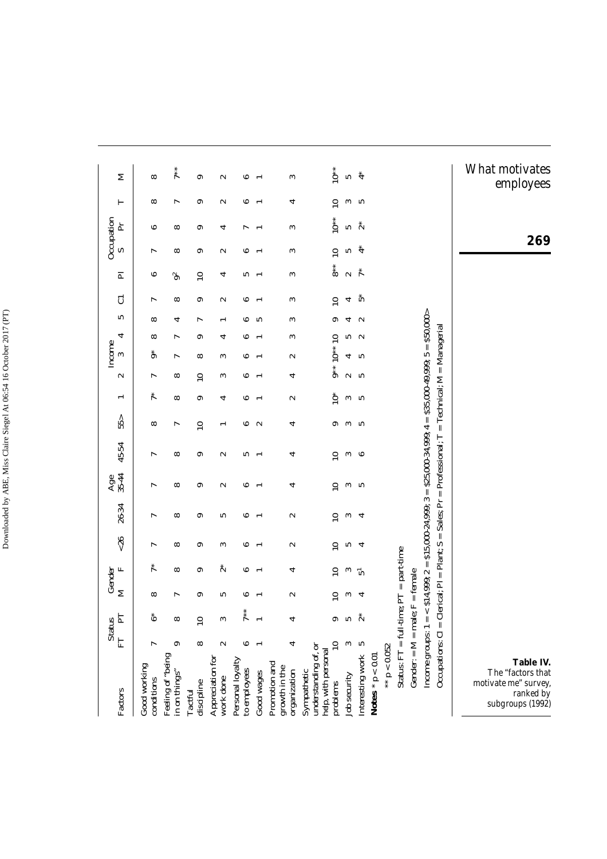| Factors                                                                    | 튭              | $\mathbb{E}% _{a}^{X^{\prime}}(\mathbb{R}^{2n})$<br>Status |                 | Gender $_{\rm F}$ M              | ${<}26$        | 26-34                                                                                      | Age<br>35-44 | 45-54         | 55>             |                                 | $\sim$          | Income<br>S    | 4          | 5        | $\overline{C}$           | 冨                              | Occupation<br>S | ዺ                      | Н               | $\geq$         |
|----------------------------------------------------------------------------|----------------|------------------------------------------------------------|-----------------|----------------------------------|----------------|--------------------------------------------------------------------------------------------|--------------|---------------|-----------------|---------------------------------|-----------------|----------------|------------|----------|--------------------------|--------------------------------|-----------------|------------------------|-----------------|----------------|
| Good working<br>conditions                                                 | $\overline{ }$ | సే                                                         | ∞               | $\tilde{7}^*$                    | $\overline{ }$ | ∼                                                                                          | ∼            | ∼             | $\infty$        | $\tilde{7}^*$                   | $\overline{ }$  | ే              | $^{\circ}$ | $\infty$ | $\overline{ }$           | G                              | $\overline{ }$  | ص                      | $\infty$        | $\infty$       |
| Feeling of "being<br>in on things"                                         | 9              | $\infty$                                                   |                 | $\infty$                         | $\infty$       | $\infty$                                                                                   | $\infty$     | $\infty$      |                 | $\infty$                        | $\infty$        | $\overline{ }$ | ∼          | 4        | $\infty$                 | 9 <sup>2</sup>                 | $\infty$        | $\infty$               | ∼               | $7**$          |
| discipline<br>Tactful                                                      | $\infty$       | $\overline{\phantom{0}}$                                   | œ               | ౚ                                | c              | ၜ                                                                                          | ဓာ           | ၜ             | $\overline{10}$ | ౚ                               | $\overline{10}$ | $\infty$       | ౚ          | ∼        | ౚ                        | $\overline{10}$                | ၜ               | ၜ                      | ၜ               | ဓာ             |
| Appreciation for<br>work done                                              | $\sim$         | S                                                          | ທ               | $\stackrel{*}{\scriptstyle\sim}$ | ∽              | 5                                                                                          | $\sim$       | $\sim$        |                 |                                 | S               | S              |            |          | 2                        | 4                              | $\sim$          | 4                      | 2               | 2              |
| Personal loyalty<br>to employees                                           | ఴ              | $* *$                                                      |                 |                                  |                | ౼                                                                                          |              | ص             | ౼               |                                 |                 | ౼              |            | ౼        | co                       | ៲ດ                             |                 |                        | c               | co             |
| Good wages                                                                 |                |                                                            |                 |                                  |                |                                                                                            |              |               | $\sim$          |                                 |                 |                |            | Ľ        |                          |                                |                 |                        |                 |                |
| Promotion and<br>growth in the<br>organization                             |                |                                                            | $\sim$          |                                  | $\sim$         | $\sim$                                                                                     |              |               |                 | $\sim$                          |                 | $\sim$         | S          | S        | S                        | S                              | S               | S                      |                 | S              |
| understanding of, or<br>help, with personal<br>Sympathetic<br>problems     | $\Xi$          |                                                            | $\overline{10}$ | $\overline{10}$                  | $\subseteq$    | $\subseteq$                                                                                | $\Omega$     | $\mathbf{0}$  | 9               | $\stackrel{*}{\text{O}}$        | $3*$            | $10^{**}$      | $\Box$     | ငာ       | $\overline{\phantom{0}}$ | $8**$                          | $\overline{10}$ | $10**$                 | $\overline{10}$ | $10**$         |
| Job security                                                               | S              | ၀ော က လ်                                                   | S               | S                                | 5              | S                                                                                          |              |               | က ဟ             |                                 |                 | 4              | 5          | ↤        | 4                        | $\approx$ $\stackrel{*}{\sim}$ | 5               | ທ $\stackrel{*}{\sim}$ |                 | S              |
| Interesting work                                                           | S              |                                                            |                 | $\overline{5}$                   |                | ₹                                                                                          | က ဟ          | $\frac{3}{2}$ |                 | က ဟ                             | $\approx$ 50    | S              | $\sim$     | $\sim$   | ేద                       |                                | $\ddot{ }$      |                        | က ဟ             | $\ddot{ }$     |
| Notes $* p < 0.01$                                                         |                |                                                            |                 |                                  |                |                                                                                            |              |               |                 |                                 |                 |                |            |          |                          |                                |                 |                        |                 |                |
| $*$ $p < 0.052$                                                            |                |                                                            |                 |                                  |                |                                                                                            |              |               |                 |                                 |                 |                |            |          |                          |                                |                 |                        |                 |                |
| Status: $FT = full-time$ ; $PT = part-time$                                |                |                                                            |                 |                                  |                |                                                                                            |              |               |                 |                                 |                 |                |            |          |                          |                                |                 |                        |                 |                |
| Gender: = $M$ = male; $F$ = female                                         |                |                                                            |                 |                                  |                |                                                                                            |              |               |                 |                                 |                 |                |            |          |                          |                                |                 |                        |                 |                |
| Income groups: $1 =$                                                       |                |                                                            |                 |                                  |                | $<$ \$14,999; 2 = \$15,000-24,999; 3 = \$25,000-34,999; 4 = \$35,000-49,999; 5 = \$50,000> |              |               |                 |                                 |                 |                |            |          |                          |                                |                 |                        |                 |                |
| Occupations: $CI = C$                                                      |                |                                                            |                 |                                  |                | lerical; $PI = Plant$ ; $S = Sales$ ; $Pr = Professional$ ; $T$                            |              |               |                 | $=$ Technical; $M =$ Managerial |                 |                |            |          |                          |                                |                 |                        |                 |                |
|                                                                            |                |                                                            |                 |                                  |                |                                                                                            |              |               |                 |                                 |                 |                |            |          |                          |                                |                 |                        |                 |                |
|                                                                            |                |                                                            |                 |                                  |                |                                                                                            |              |               |                 |                                 |                 |                |            |          |                          |                                |                 |                        |                 |                |
| The "factors that<br>motivate me" survey,<br>ranked by<br>subgroups (1992) |                |                                                            |                 |                                  |                |                                                                                            |              |               |                 |                                 |                 |                |            |          |                          |                                |                 |                        |                 | What motivates |
|                                                                            |                |                                                            |                 |                                  |                |                                                                                            |              |               |                 |                                 |                 |                |            |          |                          |                                |                 |                        |                 | employees      |
| Table IV.                                                                  |                |                                                            |                 |                                  |                |                                                                                            |              |               |                 |                                 |                 |                |            |          |                          |                                | 269             |                        |                 |                |
|                                                                            |                |                                                            |                 |                                  |                |                                                                                            |              |               |                 |                                 |                 |                |            |          |                          |                                |                 |                        |                 |                |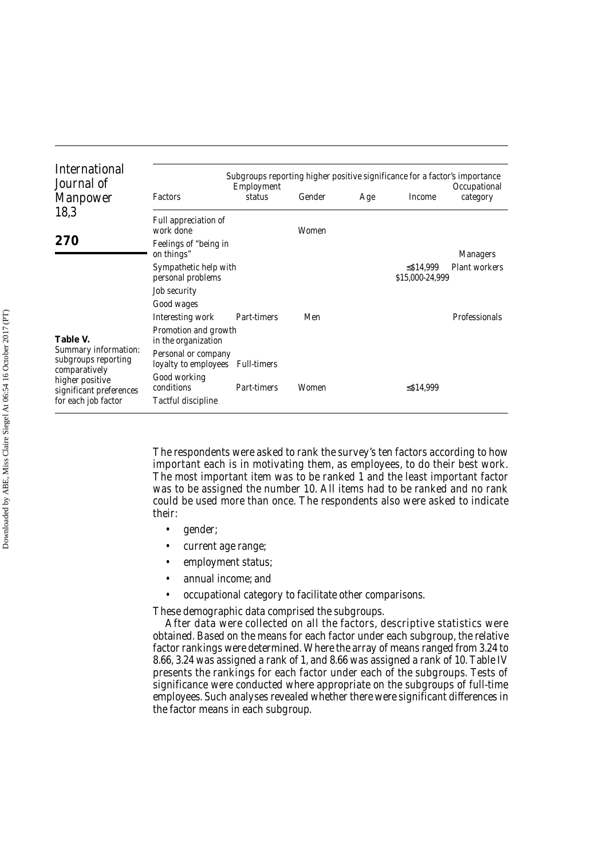| International<br>Journal of                                  | Subgroups reporting higher positive significance for a factor's importance<br>Employment<br>Occupational |             |        |     |                                   |                 |  |  |
|--------------------------------------------------------------|----------------------------------------------------------------------------------------------------------|-------------|--------|-----|-----------------------------------|-----------------|--|--|
| <b>Manpower</b>                                              | Factors                                                                                                  | status      | Gender | Age | Income                            | category        |  |  |
| 18,3                                                         | Full appreciation of<br>work done                                                                        |             | Women  |     |                                   |                 |  |  |
| 270                                                          | Feelings of "being in<br>on things"                                                                      |             |        |     |                                   | <b>Managers</b> |  |  |
|                                                              | Sympathetic help with<br>personal problems                                                               |             |        |     | $\leq$ S14,999<br>\$15,000-24,999 | Plant workers   |  |  |
|                                                              | Job security                                                                                             |             |        |     |                                   |                 |  |  |
|                                                              | Good wages                                                                                               |             |        |     |                                   |                 |  |  |
|                                                              | Interesting work                                                                                         | Part-timers | Men    |     |                                   | Professionals   |  |  |
| Table V.                                                     | Promotion and growth<br>in the organization                                                              |             |        |     |                                   |                 |  |  |
| Summary information:<br>subgroups reporting<br>comparatively | Personal or company<br>loyalty to employees Full-timers                                                  |             |        |     |                                   |                 |  |  |
| higher positive<br>significant preferences                   | Good working<br>conditions                                                                               | Part-timers | Women  |     | $\leq$ \$14,999                   |                 |  |  |
| for each job factor                                          | Tactful discipline                                                                                       |             |        |     |                                   |                 |  |  |

The respondents were asked to rank the survey's ten factors according to how important each is in motivating them, as employees, to do their best work. The most important item was to be ranked 1 and the least important factor was to be assigned the number 10. All items had to be ranked and no rank could be used more than once. The respondents also were asked to indicate their:

- gender;
- current age range;
- employment status;
- annual income; and
- occupational category to facilitate other comparisons.

These demographic data comprised the subgroups.

After data were collected on all the factors, descriptive statistics were obtained. Based on the means for each factor under each subgroup, the relative factor rankings were determined. Where the array of means ranged from 3.24 to 8.66, 3.24 was assigned a rank of 1, and 8.66 was assigned a rank of 10. Table IV presents the rankings for each factor under each of the subgroups. Tests of significance were conducted where appropriate on the subgroups of full-time employees. Such analyses revealed whether there were significant differences in the factor means in each subgroup.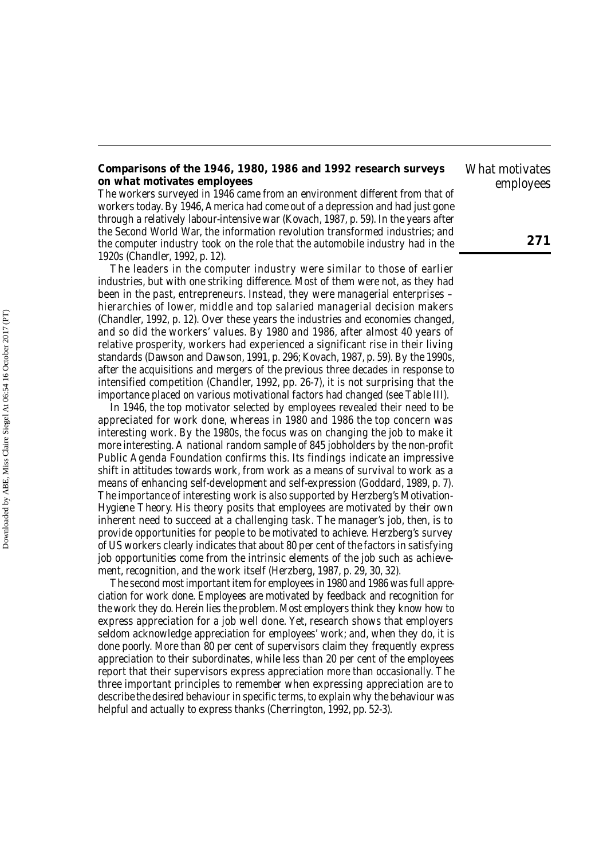# **Comparisons of the 1946, 1980, 1986 and 1992 research surveys on what motivates employees**

The workers surveyed in 1946 came from an environment different from that of workers today. By 1946, America had come out of a depression and had just gone through a relatively labour-intensive war (Kovach, 1987, p. 59). In the years after the Second World War, the information revolution transformed industries; and the computer industry took on the role that the automobile industry had in the 1920s (Chandler, 1992, p. 12).

The leaders in the computer industry were similar to those of earlier industries, but with one striking difference. Most of them were not, as they had been in the past, entrepreneurs. Instead, they were managerial enterprises – hierarchies of lower, middle and top salaried managerial decision makers (Chandler, 1992, p. 12). Over these years the industries and economies changed, and so did the workers' values. By 1980 and 1986, after almost 40 years of relative prosperity, workers had experienced a significant rise in their living standards (Dawson and Dawson, 1991, p. 296; Kovach, 1987, p. 59). By the 1990s, after the acquisitions and mergers of the previous three decades in response to intensified competition (Chandler, 1992, pp. 26-7), it is not surprising that the importance placed on various motivational factors had changed (see Table III).

In 1946, the top motivator selected by employees revealed their need to be appreciated for work done, whereas in 1980 and 1986 the top concern was interesting work. By the 1980s, the focus was on changing the job to make it more interesting. A national random sample of 845 jobholders by the non-profit Public Agenda Foundation confirms this. Its findings indicate an impressive shift in attitudes towards work, from work as a means of survival to work as a means of enhancing self-development and self-expression (Goddard, 1989, p. 7). The importance of interesting work is also supported by Herzberg's *Motivation-Hygiene Theory.* His theory posits that employees are motivated by their own inherent need to succeed at a challenging task. The manager's job, then, is to provide opportunities for people to be motivated to achieve. Herzberg's survey of US workers clearly indicates that about 80 per cent of the factors in satisfying job opportunities come from the intrinsic elements of the job such as achievement, recognition, and the work itself (Herzberg, 1987, p. 29, 30, 32).

The second most important item for employees in 1980 and 1986 was full appreciation for work done. Employees are motivated by feedback and recognition for the work they do. Herein lies the problem. Most employers think they know how to express appreciation for a job well done. Yet, research shows that employers seldom acknowledge appreciation for employees' work; and, when they do, it is done poorly. More than 80 per cent of supervisors claim they frequently express appreciation to their subordinates, while less than 20 per cent of the employees report that their supervisors express appreciation more than occasionally. The three important principles to remember when expressing appreciation are to describe the desired behaviour in specific terms, to explain why the behaviour was helpful and actually to express thanks (Cherrington, 1992, pp. 52-3).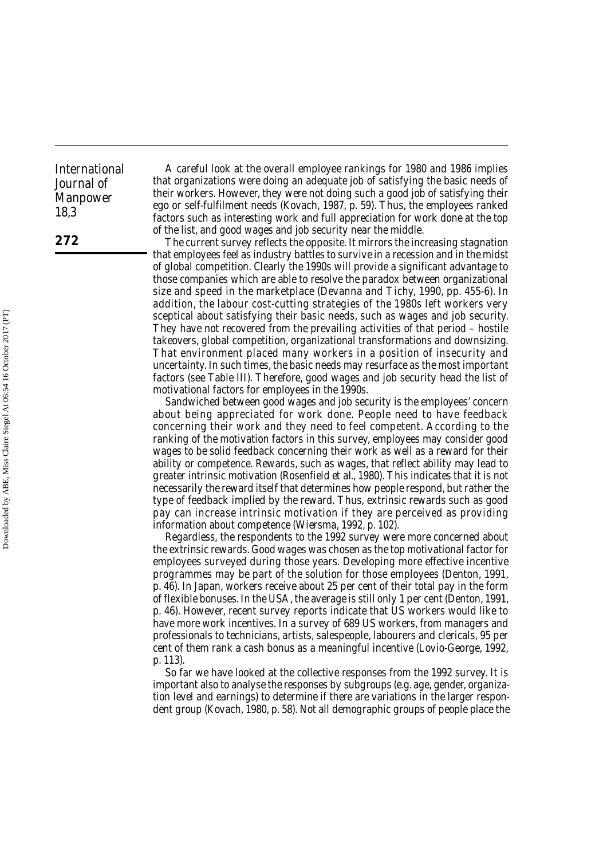**272**

A careful look at the overall employee rankings for 1980 and 1986 implies that organizations were doing an adequate job of satisfying the basic needs of their workers. However, they were not doing such a good job of satisfying their ego or self-fulfilment needs (Kovach, 1987, p. 59). Thus, the employees ranked factors such as interesting work and full appreciation for work done at the top of the list, and good wages and job security near the middle.

The current survey reflects the opposite. It mirrors the increasing stagnation that employees feel as industry battles to survive in a recession and in the midst of global competition. Clearly the 1990s will provide a significant advantage to those companies which are able to resolve the paradox between organizational size and speed in the marketplace (Devanna and Tichy, 1990, pp. 455-6). In addition, the labour cost-cutting strategies of the 1980s left workers very sceptical about satisfying their basic needs, such as wages and job security. They have not recovered from the prevailing activities of that period – hostile takeovers, global competition, organizational transformations and downsizing. That environment placed many workers in a position of insecurity and uncertainty. In such times, the basic needs may resurface as the most important factors (see Table III). Therefore, good wages and job security head the list of motivational factors for employees in the 1990s.

Sandwiched between good wages and job security is the employees' concern about being appreciated for work done. People need to have feedback concerning their work and they need to feel competent. According to the ranking of the motivation factors in this survey, employees may consider good wages to be solid feedback concerning their work as well as a reward for their ability or competence. Rewards, such as wages, that reflect ability may lead to greater intrinsic motivation (Rosenfield *et al.*, 1980). This indicates that it is not necessarily the reward itself that determines how people respond, but rather the type of feedback implied by the reward. Thus, extrinsic rewards such as good pay can increase intrinsic motivation if they are perceived as providing information about competence (Wiersma, 1992, p. 102).

Regardless, the respondents to the 1992 survey were more concerned about the extrinsic rewards. Good wages was chosen as the top motivational factor for employees surveyed during those years. Developing more effective incentive programmes may be part of the solution for those employees (Denton, 1991, p. 46). In Japan, workers receive about 25 per cent of their total pay in the form of flexible bonuses. In the USA, the average is still only 1 per cent (Denton, 1991, p. 46). However, recent survey reports indicate that US workers would like to have more work incentives. In a survey of 689 US workers, from managers and professionals to technicians, artists, salespeople, labourers and clericals, 95 per cent of them rank a cash bonus as a meaningful incentive (Lovio-George, 1992, p. 113).

So far we have looked at the collective responses from the 1992 survey. It is important also to analyse the responses by subgroups (e.g. age, gender, organization level and earnings) to determine if there are variations in the larger respondent group (Kovach, 1980, p. 58). Not all demographic groups of people place the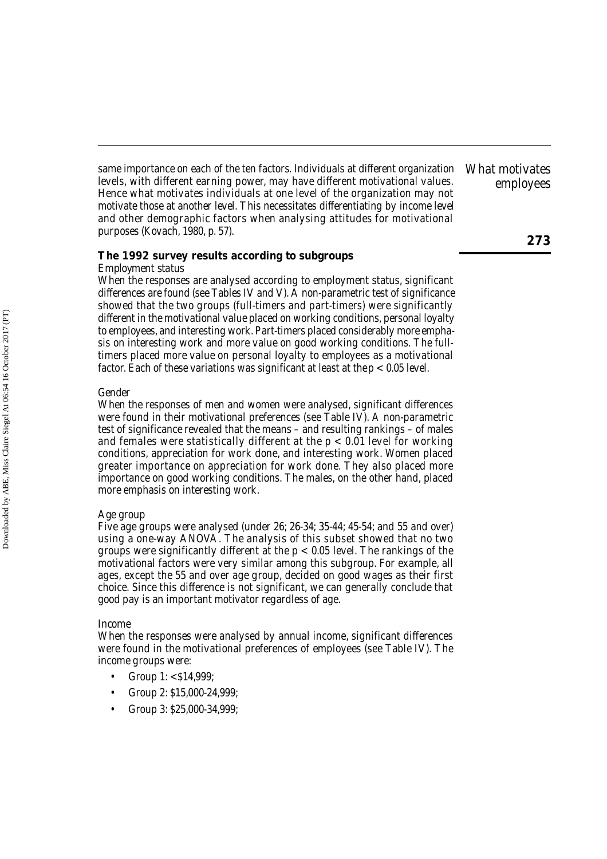same importance on each of the ten factors. Individuals at different organization levels, with different earning power, may have different motivational values. Hence what motivates individuals at one level of the organization may not motivate those at another level. This necessitates differentiating by income level and other demographic factors when analysing attitudes for motivational purposes (Kovach, 1980, p. 57).

# **The 1992 survey results according to subgroups**

# *Employment status*

When the responses are analysed according to employment status, significant differences are found (see Tables IV and V). A non-parametric test of significance showed that the two groups (full-timers and part-timers) were significantly different in the motivational value placed on working conditions, personal loyalty to employees, and interesting work. Part-timers placed considerably more emphasis on interesting work and more value on good working conditions. The fulltimers placed more value on personal loyalty to employees as a motivational factor. Each of these variations was significant at least at the *p* < 0.05 level.

#### *Gender*

When the responses of men and women were analysed, significant differences were found in their motivational preferences (see Table IV). A non-parametric test of significance revealed that the means – and resulting rankings – of males and females were statistically different at the  $p < 0.01$  level for working conditions, appreciation for work done, and interesting work. Women placed greater importance on appreciation for work done. They also placed more importance on good working conditions. The males, on the other hand, placed more emphasis on interesting work.

#### *Age group*

Five age groups were analysed (under 26; 26-34; 35-44; 45-54; and 55 and over) using a one-way ANOVA. The analysis of this subset showed that no two groups were significantly different at the  $p < 0.05$  level. The rankings of the motivational factors were very similar among this subgroup. For example, all ages, except the 55 and over age group, decided on good wages as their first choice. Since this difference is not significant, we can generally conclude that good pay is an important motivator regardless of age.

#### *Income*

When the responses were analysed by annual income, significant differences were found in the motivational preferences of employees (see Table IV). The income groups were:

- Group 1: < \$14,999;
- Group 2: \$15,000-24,999;
- Group 3: \$25,000-34,999;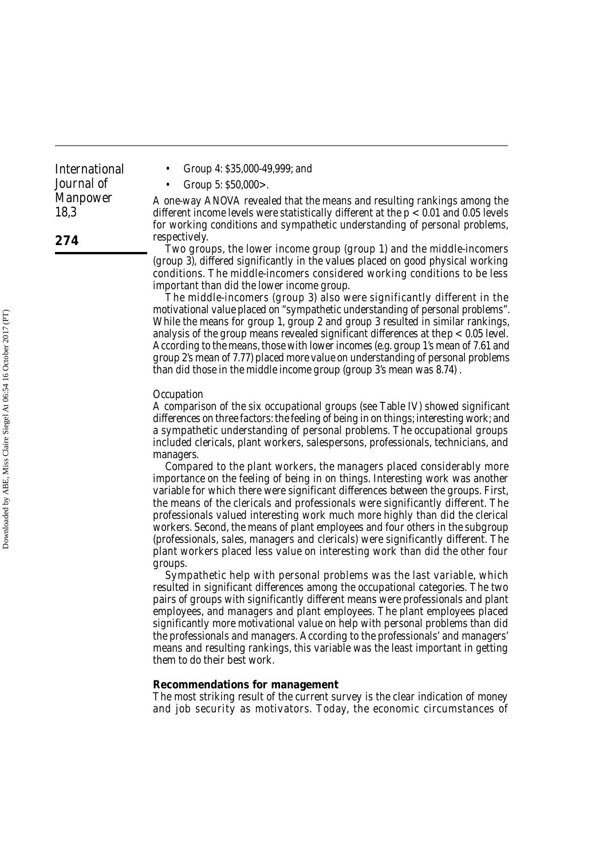**274**

- Group 4: \$35,000-49,999; and
- Group 5: \$50,000>.

A one-way ANOVA revealed that the means and resulting rankings among the different income levels were statistically different at the  $p < 0.01$  and 0.05 levels for working conditions and sympathetic understanding of personal problems, respectively.

Two groups, the lower income group (group 1) and the middle-incomers (group 3), differed significantly in the values placed on good physical working conditions. The middle-incomers considered working conditions to be less important than did the lower income group.

The middle-incomers (group 3) also were significantly different in the motivational value placed on "sympathetic understanding of personal problems". While the means for group 1, group 2 and group 3 resulted in similar rankings, analysis of the group means revealed significant differences at the  $p < 0.05$  level. According to the means, those with lower incomes (e.g. group 1's mean of 7.61 and group 2's mean of 7.77) placed more value on understanding of personal problems than did those in the middle income group (group 3's mean was 8.74) .

#### *Occupation*

A comparison of the six occupational groups (see Table IV) showed significant differences on three factors: the feeling of being in on things; interesting work; and a sympathetic understanding of personal problems. The occupational groups included clericals, plant workers, salespersons, professionals, technicians, and managers.

Compared to the plant workers, the managers placed considerably more importance on the feeling of being in on things. Interesting work was another variable for which there were significant differences between the groups. First, the means of the clericals and professionals were significantly different. The professionals valued interesting work much more highly than did the clerical workers. Second, the means of plant employees and four others in the subgroup (professionals, sales, managers and clericals) were significantly different. The plant workers placed less value on interesting work than did the other four groups.

Sympathetic help with personal problems was the last variable, which resulted in significant differences among the occupational categories. The two pairs of groups with significantly different means were professionals and plant employees, and managers and plant employees. The plant employees placed significantly more motivational value on help with personal problems than did the professionals and managers. According to the professionals' and managers' means and resulting rankings, this variable was the least important in getting them to do their best work.

# **Recommendations for management**

The most striking result of the current survey is the clear indication of money and job security as motivators. Today, the economic circumstances of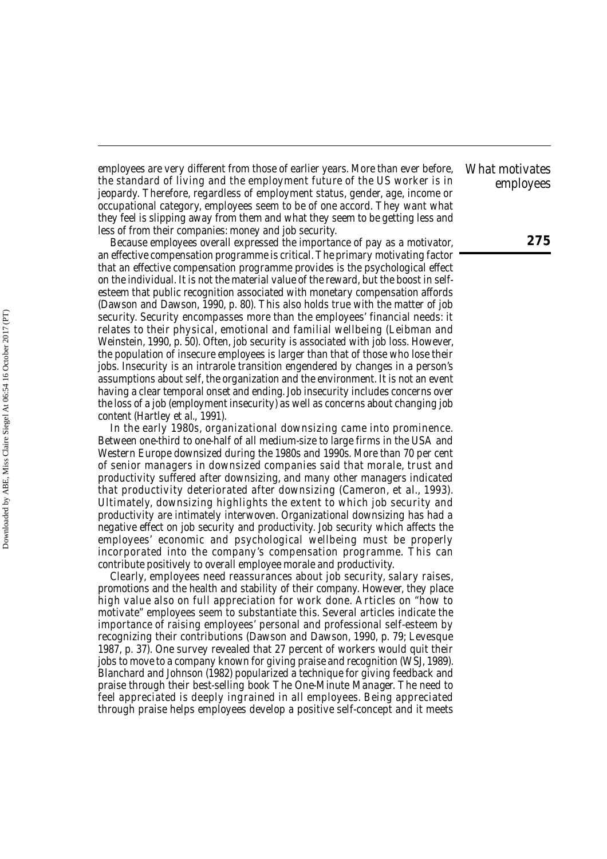employees are very different from those of earlier years. More than ever before, the standard of living and the employment future of the US worker is in jeopardy. Therefore, regardless of employment status, gender, age, income or occupational category, employees seem to be of one accord. They want what they feel is slipping away from them and what they seem to be getting less and less of from their companies: money and job security.

Because employees overall expressed the importance of pay as a motivator, an effective compensation programme is critical. The primary motivating factor that an effective compensation programme provides is the psychological effect on the individual. It is not the material value of the reward, but the boost in selfesteem that public recognition associated with monetary compensation affords (Dawson and Dawson, 1990, p. 80). This also holds true with the matter of job security. Security encompasses more than the employees' financial needs: it relates to their physical, emotional and familial wellbeing (Leibman and Weinstein, 1990, p. 50). Often, job security is associated with job loss. However, the population of insecure employees is larger than that of those who lose their jobs. Insecurity is an intrarole transition engendered by changes in a person's assumptions about self, the organization and the environment. It is not an event having a clear temporal onset and ending. Job insecurity includes concerns over the loss of a job (employment insecurity) as well as concerns about changing job content (Hartley *et al.,* 1991).

In the early 1980s, organizational downsizing came into prominence. Between one-third to one-half of all medium-size to large firms in the USA and Western Europe downsized during the 1980s and 1990s. More than 70 per cent of senior managers in downsized companies said that morale, trust and productivity suffered after downsizing, and many other managers indicated that productivity deteriorated after downsizing (Cameron, *et al.*, 1993). Ultimately, downsizing highlights the extent to which job security and productivity are intimately interwoven. Organizational downsizing has had a negative effect on job security and productivity. Job security which affects the employees' economic and psychological wellbeing must be properly incorporated into the company's compensation programme. This can contribute positively to overall employee morale and productivity.

Clearly, employees need reassurances about job security, salary raises, promotions and the health and stability of their company. However, they place high value also on full appreciation for work done. Articles on "how to motivate" employees seem to substantiate this. Several articles indicate the importance of raising employees' personal and professional self-esteem by recognizing their contributions (Dawson and Dawson, 1990, p. 79; Levesque 1987, p. 37). One survey revealed that 27 percent of workers would quit their jobs to move to a company known for giving praise and recognition (WSJ, 1989). Blanchard and Johnson (1982) popularized a technique for giving feedback and praise through their best-selling book *The One-Minute Manager.* The need to feel appreciated is deeply ingrained in all employees. Being appreciated through praise helps employees develop a positive self-concept and it meets

# What motivates employees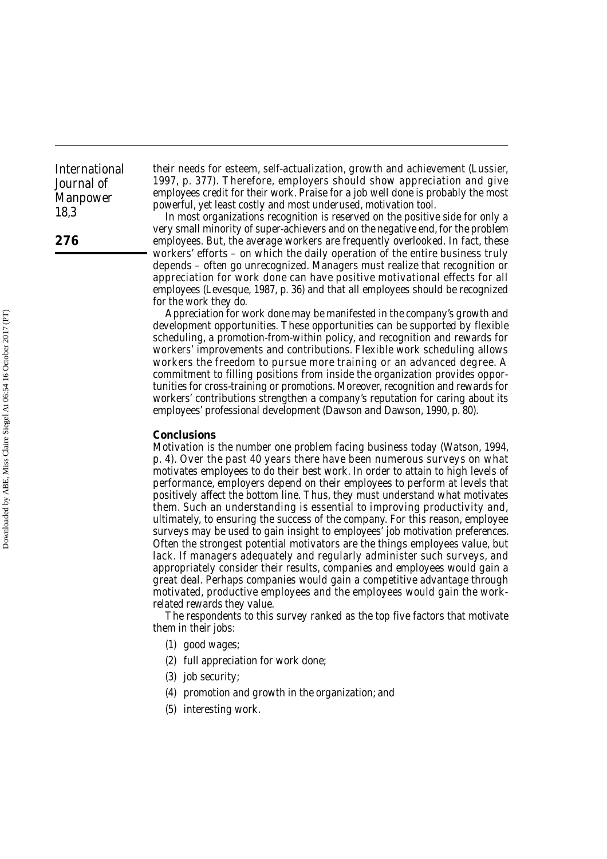their needs for esteem, self-actualization, growth and achievement (Lussier, 1997, p. 377). Therefore, employers should show appreciation and give employees credit for their work. Praise for a job well done is probably the most powerful, yet least costly and most underused, motivation tool.

In most organizations recognition is reserved on the positive side for only a very small minority of super-achievers and on the negative end, for the problem employees. But, the average workers are frequently overlooked. In fact, these workers' efforts – on which the daily operation of the entire business truly depends – often go unrecognized. Managers must realize that recognition or appreciation for work done can have positive motivational effects for all employees (Levesque, 1987, p. 36) and that all employees should be recognized for the work they do.

Appreciation for work done may be manifested in the company's growth and development opportunities. These opportunities can be supported by flexible scheduling, a promotion-from-within policy, and recognition and rewards for workers' improvements and contributions. Flexible work scheduling allows workers the freedom to pursue more training or an advanced degree. A commitment to filling positions from inside the organization provides opportunities for cross-training or promotions. Moreover, recognition and rewards for workers' contributions strengthen a company's reputation for caring about its employees' professional development (Dawson and Dawson, 1990, p. 80).

## **Conclusions**

Motivation is the number one problem facing business today (Watson, 1994, p. 4). Over the past 40 years there have been numerous surveys on what motivates employees to do their best work. In order to attain to high levels of performance, employers depend on their employees to perform at levels that positively affect the bottom line. Thus, they must understand what motivates them. Such an understanding is essential to improving productivity and, ultimately, to ensuring the success of the company. For this reason, employee surveys may be used to gain insight to employees' job motivation preferences. Often the strongest potential motivators are the things employees value, but lack. If managers adequately and regularly administer such surveys, and appropriately consider their results, companies and employees would gain a great deal. Perhaps companies would gain a competitive advantage through motivated, productive employees and the employees would gain the workrelated rewards they value.

The respondents to this survey ranked as the top five factors that motivate them in their jobs:

- (1) good wages;
- (2) full appreciation for work done;
- (3) job security;
- (4) promotion and growth in the organization; and
- (5) interesting work.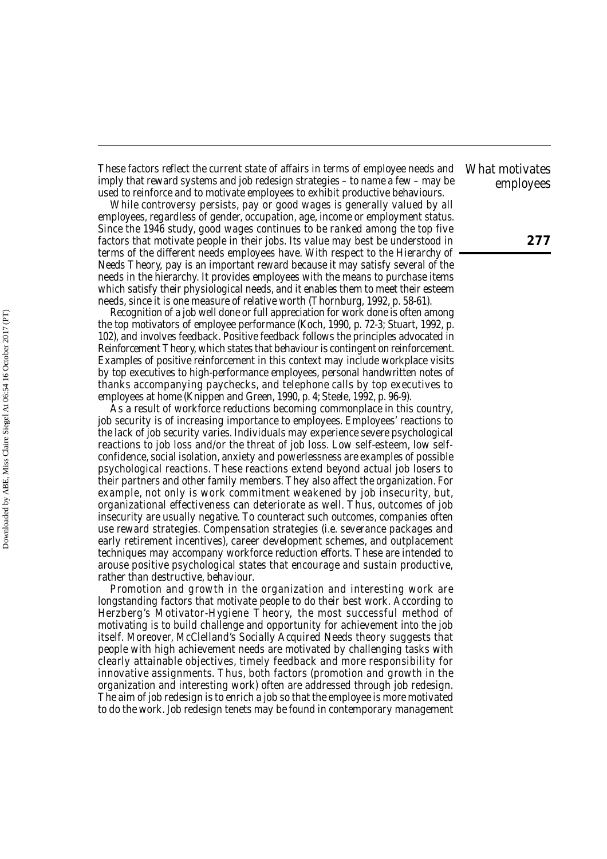These factors reflect the current state of affairs in terms of employee needs and imply that reward systems and job redesign strategies – to name a few – may be used to reinforce and to motivate employees to exhibit productive behaviours.

While controversy persists, pay or good wages is generally valued by all employees, regardless of gender, occupation, age, income or employment status. Since the 1946 study, good wages continues to be ranked among the top five factors that motivate people in their jobs. Its value may best be understood in terms of the different needs employees have. With respect to the *Hierarchy of Needs Theory,* pay is an important reward because it may satisfy several of the needs in the hierarchy. It provides employees with the means to purchase items which satisfy their physiological needs, and it enables them to meet their esteem needs, since it is one measure of relative worth (Thornburg, 1992, p. 58-61).

Recognition of a job well done or full appreciation for work done is often among the top motivators of employee performance (Koch, 1990, p. 72-3; Stuart, 1992, p. 102), and involves feedback. Positive feedback follows the principles advocated in *Reinforcement Theory,* which states that behaviour is contingent on reinforcement. Examples of positive reinforcement in this context may include workplace visits by top executives to high-performance employees, personal handwritten notes of thanks accompanying paychecks, and telephone calls by top executives to employees at home (Knippen and Green, 1990, p. 4; Steele, 1992, p. 96-9).

As a result of workforce reductions becoming commonplace in this country, job security is of increasing importance to employees. Employees' reactions to the lack of job security varies. Individuals may experience severe psychological reactions to job loss and/or the threat of job loss. Low self-esteem, low selfconfidence, social isolation, anxiety and powerlessness are examples of possible psychological reactions. These reactions extend beyond actual job losers to their partners and other family members. They also affect the organization. For example, not only is work commitment weakened by job insecurity, but, organizational effectiveness can deteriorate as well. Thus, outcomes of job insecurity are usually negative. To counteract such outcomes, companies often use reward strategies. Compensation strategies (i.e. severance packages and early retirement incentives), career development schemes, and outplacement techniques may accompany workforce reduction efforts. These are intended to arouse positive psychological states that encourage and sustain productive, rather than destructive, behaviour.

Promotion and growth in the organization and interesting work are longstanding factors that motivate people to do their best work. According to Herzberg's *Motivator-Hygiene Theory,* the most successful method of motivating is to build challenge and opportunity for achievement into the job itself. Moreover, McClelland's *Socially Acquired Needs* theory suggests that people with high achievement needs are motivated by challenging tasks with clearly attainable objectives, timely feedback and more responsibility for innovative assignments. Thus, both factors (promotion and growth in the organization and interesting work) often are addressed through job redesign. The aim of job redesign is to enrich a job so that the employee is more motivated to do the work. Job redesign tenets may be found in contemporary management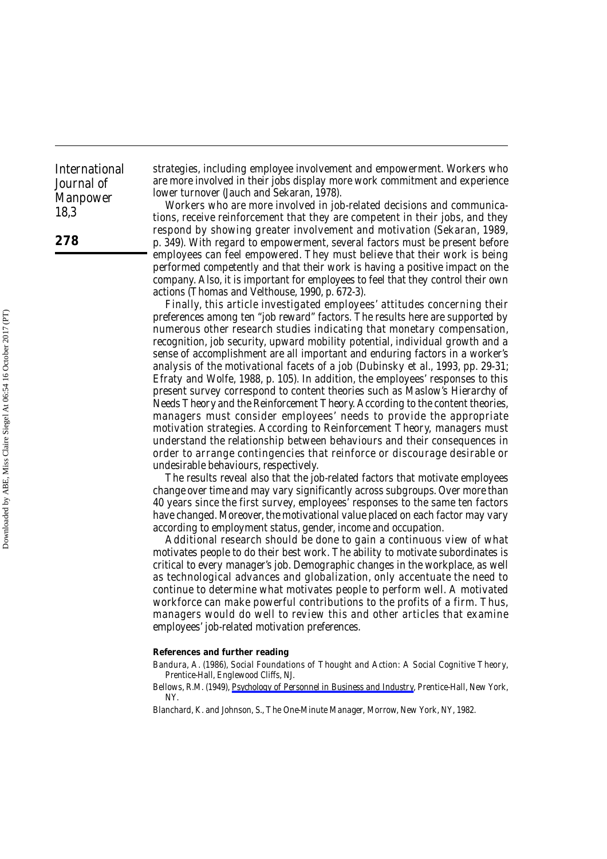**278**

strategies, including employee involvement and empowerment. Workers who are more involved in their jobs display more work commitment and experience lower turnover (Jauch and Sekaran, 1978).

Workers who are more involved in job-related decisions and communications, receive reinforcement that they are competent in their jobs, and they respond by showing greater involvement and motivation (Sekaran, 1989, p. 349). With regard to empowerment, several factors must be present before employees can feel empowered. They must believe that their work is being performed competently and that their work is having a positive impact on the company. Also, it is important for employees to feel that they control their own actions (Thomas and Velthouse, 1990, p. 672-3).

Finally, this article investigated employees' attitudes concerning their preferences among ten "job reward" factors. The results here are supported by numerous other research studies indicating that monetary compensation, recognition, job security, upward mobility potential, individual growth and a sense of accomplishment are all important and enduring factors in a worker's analysis of the motivational facets of a job (Dubinsky *et al.*, 1993, pp. 29-31; Efraty and Wolfe, 1988, p. 105). In addition, the employees' responses to this present survey correspond to content theories such as Maslow's *Hierarchy of Needs Theory* and the *Reinforcement Theory.* According to the content theories, managers must consider employees' needs to provide the appropriate motivation strategies. According to *Reinforcement Theory,* managers must understand the relationship between behaviours and their consequences in order to arrange contingencies that reinforce or discourage desirable or undesirable behaviours, respectively.

The results reveal also that the job-related factors that motivate employees change over time and may vary significantly across subgroups. Over more than 40 years since the first survey, employees' responses to the same ten factors have changed. Moreover, the motivational value placed on each factor may vary according to employment status, gender, income and occupation.

Additional research should be done to gain a continuous view of what motivates people to do their best work. The ability to motivate subordinates is critical to every manager's job. Demographic changes in the workplace, as well as technological advances and globalization, only accentuate the need to continue to determine what motivates people to perform well. A motivated workforce can make powerful contributions to the profits of a firm. Thus, managers would do well to review this and other articles that examine employees' job-related motivation preferences.

#### **References and further reading**

Bandura, A. (1986), *Social Foundations of Thought and Action: A Social Cognitive Theory*, Prentice-Hall, Englewood Cliffs, NJ.

Bellows, R.M. (1949), *[Psychology of Personnel in Business and Industry](http://www.emeraldinsight.com/action/showLinks?doi=10.1108%2F01437729710169373&crossref=10.1037%2F13991-000&citationId=p_2)*, Prentice-Hall, New York, NY.

Blanchard, K. and Johnson, S., *The One-Minute Manager,* Morrow, New York, NY, 1982.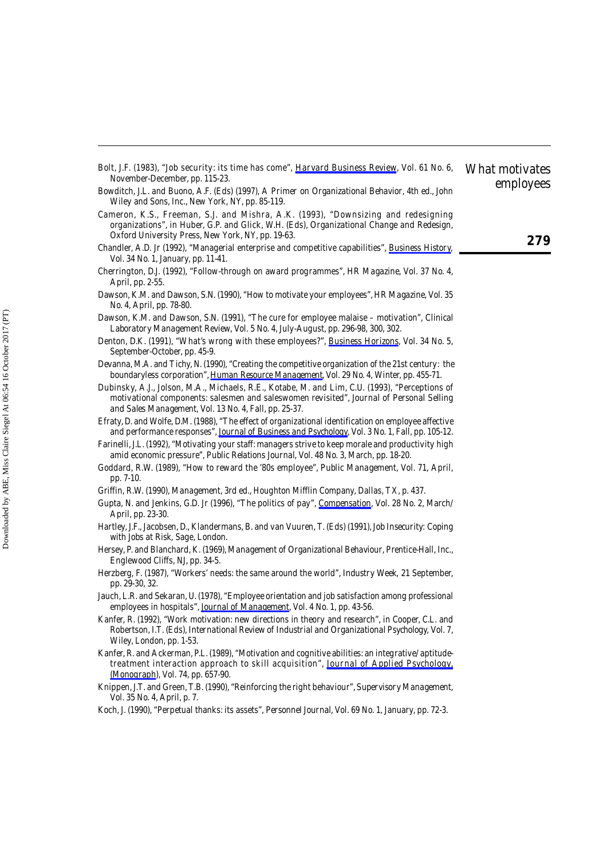| Bolt, J.F. (1983), "Job security: its time has come", <i>Harvard Business Review</i> , Vol. 61 No. 6, |  |
|-------------------------------------------------------------------------------------------------------|--|
| November-December, pp. 115-23.                                                                        |  |

- Bowditch, J.L. and Buono, A.F. (Eds) (1997), *A Primer on Organizational Behavior*, 4th ed., John Wiley and Sons, Inc., New York, NY, pp. 85-119.
- Cameron, K.S., Freeman, S.J. and Mishra, A.K. (1993), "Downsizing and redesigning organizations", in Huber, G.P. and Glick, W.H. (Eds), *Organizational Change and Redesign*, Oxford University Press, New York, NY, pp. 19-63.
- Chandler, A.D. Jr (1992), "Managerial enterprise and competitive capabilities", *[Business History,](http://www.emeraldinsight.com/action/showLinks?doi=10.1108%2F01437729710169373&crossref=10.1080%2F00076799200000002&isi=A1992HM40800002&citationId=p_7)* Vol. 34 No. 1, January, pp. 11-41.
- Cherrington, D.J. (1992), "Follow-through on award programmes", *HR Magazine*, Vol. 37 No. 4, April, pp. 2-55.
- Dawson, K.M. and Dawson, S.N. (1990), "How to motivate your employees", *HR Magazine*, Vol. 35 No. 4, April, pp. 78-80.
- Dawson, K.M. and Dawson, S.N. (1991), "The cure for employee malaise motivation", *Clinical Laboratory Management Review*, Vol. 5 No. 4, July-August, pp. 296-98, 300, 302.
- Denton, D.K. (1991), "What's wrong with these employees?", *[Business Horizons](http://www.emeraldinsight.com/action/showLinks?doi=10.1108%2F01437729710169373&crossref=10.1016%2F0007-6813%2891%2990046-X&citationId=p_11)*, Vol. 34 No. 5, September-October, pp. 45-9.
- Devanna, M.A. and Tichy, N. (1990), "Creating the competitive organization of the 21st century: the boundaryless corporation", *[Human Resource Management](http://www.emeraldinsight.com/action/showLinks?doi=10.1108%2F01437729710169373&crossref=10.1002%2Fhrm.3930290409&isi=A1990HF20400007&citationId=p_12)*, Vol. 29 No. 4, Winter, pp. 455-71.
- Dubinsky, A.J., Jolson, M.A., Michaels, R.E., Kotabe, M. and Lim, C.U. (1993), "Perceptions of motivational components: salesmen and saleswomen revisited", *Journal of Personal Selling and Sales Management*, Vol. 13 No. 4, Fall, pp. 25-37.
- Efraty, D. and Wolfe, D.M. (1988), "The effect of organizational identification on employee affective and performance responses", *[Journal of Business and Psychology](http://www.emeraldinsight.com/action/showLinks?doi=10.1108%2F01437729710169373&crossref=10.1007%2FBF01016752&citationId=p_14)*, Vol. 3 No. 1, Fall, pp. 105-12.
- Farinelli, J.L. (1992), "Motivating your staff: managers strive to keep morale and productivity high amid economic pressure", *Public Relations Journal*, Vol. 48 No. 3, March, pp. 18-20.
- Goddard, R.W. (1989), "How to reward the '80s employee", *Public Management*, Vol. 71, April, pp. 7-10.
- Griffin, R.W. (1990), *Management*, 3rd ed., Houghton Mifflin Company, Dallas, TX, p. 437.
- Gupta, N. and Jenkins, G.D. Jr (1996), "The politics of pay", *[Compensation](http://www.emeraldinsight.com/action/showLinks?doi=10.1108%2F01437729710169373&crossref=10.1177%2F088636879602800204&citationId=p_18)*, Vol. 28 No. 2, March/ April, pp. 23-30.
- Hartley, J.F., Jacobsen, D., Klandermans, B. and van Vuuren, T. (Eds) (1991), *Job Insecurity: Coping with Jobs at Risk,* Sage, London.
- Hersey, P. and Blanchard, K. (1969), *Management of Organizational Behaviour*, Prentice-Hall, Inc., Englewood Cliffs, NJ, pp. 34-5.
- Herzberg, F. (1987), "Workers' needs: the same around the world", *Industry Week,* 21 September, pp. 29-30, 32.
- Jauch, L.R. and Sekaran, U. (1978), "Employee orientation and job satisfaction among professional employees in hospitals", *[Journal of Management](http://www.emeraldinsight.com/action/showLinks?doi=10.1108%2F01437729710169373&crossref=10.1177%2F014920637800400105&citationId=p_22)*, Vol. 4 No. 1, pp. 43-56.
- Kanfer, R. (1992), "Work motivation: new directions in theory and research", in Cooper, C.L. and Robertson, I.T. (Eds), *International Review of Industrial and Organizational Psychology,* Vol. 7, Wiley, London, pp. 1-53.
- Kanfer, R. and Ackerman, P.L. (1989), "Motivation and cognitive abilities: an integrative/ aptitudetreatment interaction approach to skill acquisition", *[Journal of Applied Psychology](http://www.emeraldinsight.com/action/showLinks?doi=10.1108%2F01437729710169373&crossref=10.1037%2F0021-9010.74.4.657&isi=A1989AJ16600016&citationId=p_24)*, [\(Monograph\)](http://www.emeraldinsight.com/action/showLinks?doi=10.1108%2F01437729710169373&crossref=10.1037%2F0021-9010.74.4.657&isi=A1989AJ16600016&citationId=p_24), Vol. 74, pp. 657-90.
- Knippen, J.T. and Green, T.B. (1990), "Reinforcing the right behaviour", *Supervisory Management*, Vol. 35 No. 4, April, p. 7.
- Koch, J. (1990), "Perpetual thanks: its assets", *Personnel Journal*, Vol. 69 No. 1, January, pp. 72-3.

What motivates employees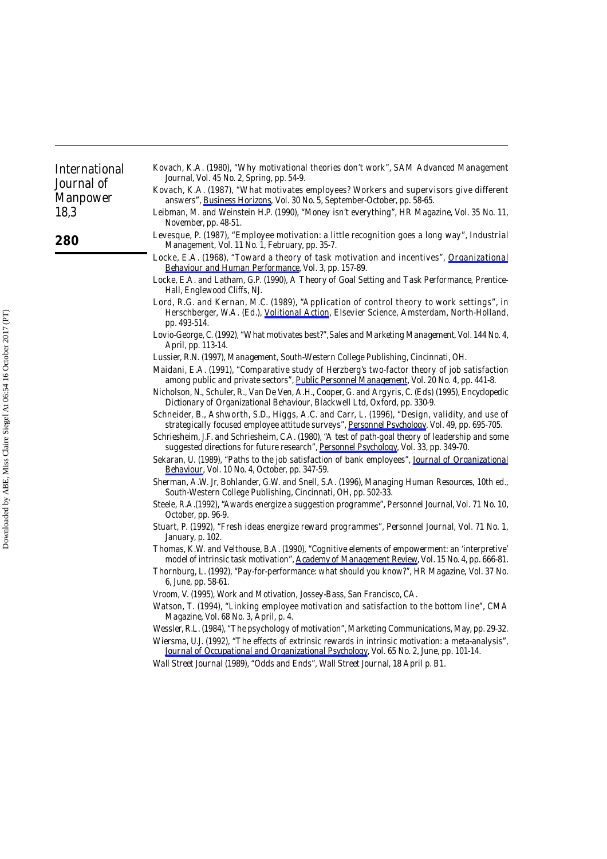| International   |
|-----------------|
| Journal of      |
| <b>Manpower</b> |
| 18.3            |
|                 |

- Kovach, K.A. (1980), "Why motivational theories don't work", *SAM Advanced Management Journal*, Vol. 45 No. 2, Spring, pp. 54-9.
- Kovach, K.A. (1987), "What motivates employees? Workers and supervisors give different answers", *[Business Horizons,](http://www.emeraldinsight.com/action/showLinks?doi=10.1108%2F01437729710169373&crossref=10.1016%2F0007-6813%2887%2990082-6&isi=A1987K779100010&citationId=p_28)* Vol. 30 No. 5, September-October, pp. 58-65.
- Leibman, M. and Weinstein H.P. (1990), "Money isn't everything", *HR Magazine*, Vol. 35 No. 11, November, pp. 48-51.
- Levesque, P. (1987), "Employee motivation: a little recognition goes a long way", *Industrial Management,* Vol. 11 No. 1, February, pp. 35-7.
- Locke, E.A. (1968), "Toward a theory of task motivation and incentives", *[Organizational](http://www.emeraldinsight.com/action/showLinks?doi=10.1108%2F01437729710169373&crossref=10.1016%2F0030-5073%2868%2990004-4&isi=A1968ZJ45400004&citationId=p_31) [Behaviour and Human Performance](http://www.emeraldinsight.com/action/showLinks?doi=10.1108%2F01437729710169373&crossref=10.1016%2F0030-5073%2868%2990004-4&isi=A1968ZJ45400004&citationId=p_31)*, Vol. 3, pp. 157-89.
- Locke, E.A. and Latham, G.P. (1990), *A Theory of Goal Setting and Task Performance,* Prentice-Hall, Englewood Cliffs, NJ.
- Lord, R.G. and Kernan, M.C. (1989), "Application of control theory to work settings", in Herschberger, W.A. (Ed.), *[Volitional Action](http://www.emeraldinsight.com/action/showLinks?doi=10.1108%2F01437729710169373&crossref=10.1016%2FS0166-4115%2808%2961927-5&citationId=p_33)*, Elsevier Science, Amsterdam, North-Holland, pp. 493-514.
- Lovio-George, C. (1992), "What motivates best?", *Sales and Marketing Management*, Vol. 144 No. 4, April, pp. 113-14.
- Lussier, R.N. (1997), *Management,* South-Western College Publishing, Cincinnati, OH.
- Maidani, E.A. (1991), "Comparative study of Herzberg's two-factor theory of job satisfaction among public and private sectors", *[Public Personnel Management](http://www.emeraldinsight.com/action/showLinks?doi=10.1108%2F01437729710169373&crossref=10.1177%2F009102609102000405&isi=A1991GZ36100005&citationId=p_36)*, Vol. 20 No. 4, pp. 441-8.
- Nicholson, N., Schuler, R., Van De Ven, A.H., Cooper, G. and Argyris, C. (Eds) (1995), *Encyclopedic Dictionary of Organizational Behaviour*, Blackwell Ltd, Oxford, pp. 330-9.
- Schneider, B., Ashworth, S.D., Higgs, A.C. and Carr, L. (1996), "Design, validity, and use of strategically focused employee attitude surveys", *[Personnel Psychology](http://www.emeraldinsight.com/action/showLinks?doi=10.1108%2F01437729710169373&crossref=10.1111%2Fj.1744-6570.1996.tb01591.x&isi=A1996VH36800007&citationId=p_38)*, Vol. 49, pp. 695-705.
- Schriesheim, J.F. and Schriesheim, C.A. (1980), "A test of path-goal theory of leadership and some suggested directions for future research", *[Personnel Psychology](http://www.emeraldinsight.com/action/showLinks?doi=10.1108%2F01437729710169373&crossref=10.1111%2Fj.1744-6570.1980.tb02356.x&isi=A1980JY19200010&citationId=p_39)*, Vol. 33, pp. 349-70.
- Sekaran, U. (1989), "Paths to the job satisfaction of bank employees", *[Journal of Organizational](http://www.emeraldinsight.com/action/showLinks?doi=10.1108%2F01437729710169373&crossref=10.1002%2Fjob.4030100405&isi=A1989AT28200004&citationId=p_40) [Behaviour](http://www.emeraldinsight.com/action/showLinks?doi=10.1108%2F01437729710169373&crossref=10.1002%2Fjob.4030100405&isi=A1989AT28200004&citationId=p_40)*, Vol. 10 No. 4, October, pp. 347-59.
- Sherman, A.W. Jr, Bohlander, G.W. and Snell, S.A. (1996), *Managing Human Resources,* 10th ed., South-Western College Publishing, Cincinnati, OH, pp. 502-33.
- Steele, R.A.(1992), "Awards energize a suggestion programme", *Personnel Journal*, Vol. 71 No. 10, October, pp. 96-9.
- Stuart, P. (1992), "Fresh ideas energize reward programmes", *Personnel Journal*, Vol. 71 No. 1, January, p. 102.
- Thomas, K.W. and Velthouse, B.A. (1990), "Cognitive elements of empowerment: an 'interpretive' model of intrinsic task motivation", *[Academy of Management Review](http://www.emeraldinsight.com/action/showLinks?doi=10.1108%2F01437729710169373&isi=A1990EE03700005&citationId=p_44)*, Vol. 15 No. 4, pp. 666-81.
- Thornburg, L. (1992), "Pay-for-performance: what should you know?", *HR Magazine,* Vol. 37 No. 6, June, pp. 58-61.
- Vroom, V. (1995), *Work and Motivation,* Jossey-Bass, San Francisco, CA.
- Watson, T. (1994), "Linking employee motivation and satisfaction to the bottom line", *CMA Magazine*, Vol. 68 No. 3, April, p. 4.
- Wessler, R.L. (1984), "The psychology of motivation", *Marketing Communications*, May, pp. 29-32.
- Wiersma, U.J. (1992), "The effects of extrinsic rewards in intrinsic motivation: a meta-analysis", *[Journal of Occupational and Organizational Psychology](http://www.emeraldinsight.com/action/showLinks?doi=10.1108%2F01437729710169373&crossref=10.1111%2Fj.2044-8325.1992.tb00488.x&isi=A1992JN69400003&citationId=p_49)*, Vol. 65 No. 2, June, pp. 101-14.
- *Wall Street Journal* (1989), "Odds and Ends", *Wall Street Journal*, 18 April p. B1.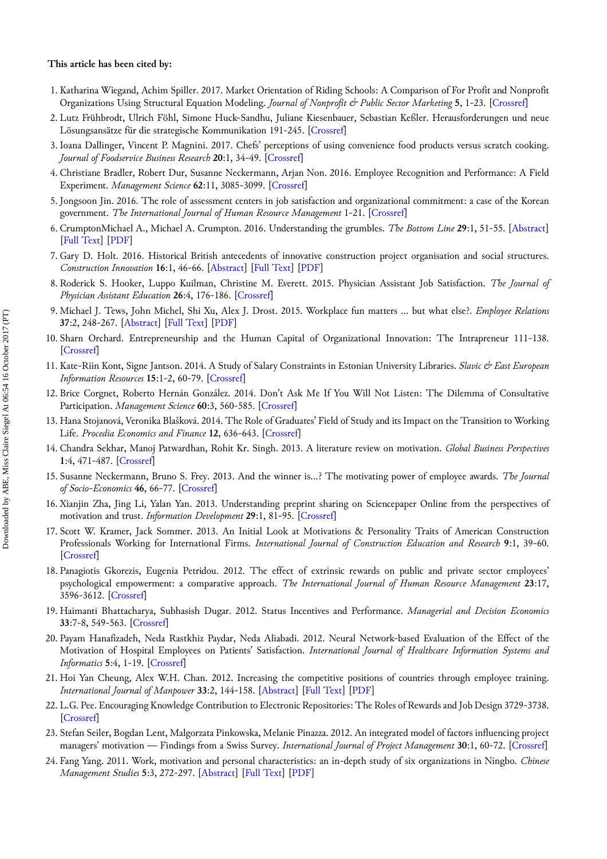#### **This article has been cited by:**

- 1. Katharina Wiegand, Achim Spiller. 2017. Market Orientation of Riding Schools: A Comparison of For Profit and Nonprofit Organizations Using Structural Equation Modeling. *Journal of Nonprofit & Public Sector Marketing* 5, 1-23. [[Crossref\]](https://doi.org/10.1080/10495142.2017.1326351)
- 2. Lutz Frühbrodt, Ulrich Föhl, Simone Huck-Sandhu, Juliane Kiesenbauer, Sebastian Keßler. Herausforderungen und neue Lösungsansätze für die strategische Kommunikation 191-245. [[Crossref\]](https://doi.org/10.1007/978-3-658-14953-6_4)
- 3. Ioana Dallinger, Vincent P. Magnini. 2017. Chefs' perceptions of using convenience food products versus scratch cooking. *Journal of Foodservice Business Research* **20**:1, 34-49. [\[Crossref](https://doi.org/10.1080/15378020.2016.1192892)]
- 4. Christiane Bradler, Robert Dur, Susanne Neckermann, Arjan Non. 2016. Employee Recognition and Performance: A Field Experiment. *Management Science* **62**:11, 3085-3099. [\[Crossref](https://doi.org/10.1287/mnsc.2015.2291)]
- 5. Jongsoon Jin. 2016. The role of assessment centers in job satisfaction and organizational commitment: a case of the Korean government. *The International Journal of Human Resource Management* 1-21. [\[Crossref](https://doi.org/10.1080/09585192.2016.1203348)]
- 6. CrumptonMichael A., Michael A. Crumpton. 2016. Understanding the grumbles. *The Bottom Line* **29**:1, 51-55. [[Abstract\]](https://doi.org/10.1108/BL-10-2015-0019) [\[Full Text](http://www.emeraldinsight.com/doi/full/10.1108/BL-10-2015-0019)] [\[PDF\]](http://www.emeraldinsight.com/doi/pdfplus/10.1108/BL-10-2015-0019)
- 7. Gary D. Holt. 2016. Historical British antecedents of innovative construction project organisation and social structures. *Construction Innovation* **16**:1, 46-66. [\[Abstract](https://doi.org/10.1108/CI-02-2015-0010)] [\[Full Text](http://www.emeraldinsight.com/doi/full/10.1108/CI-02-2015-0010)] [[PDF\]](http://www.emeraldinsight.com/doi/pdfplus/10.1108/CI-02-2015-0010)
- 8. Roderick S. Hooker, Luppo Kuilman, Christine M. Everett. 2015. Physician Assistant Job Satisfaction. *The Journal of Physician Assistant Education* **26**:4, 176-186. [[Crossref\]](https://doi.org/10.1097/JPA.0000000000000047)
- 9. Michael J. Tews, John Michel, Shi Xu, Alex J. Drost. 2015. Workplace fun matters … but what else?. *Employee Relations* **37**:2, 248-267. [[Abstract\]](https://doi.org/10.1108/ER-10-2013-0152) [\[Full Text](http://www.emeraldinsight.com/doi/full/10.1108/ER-10-2013-0152)] [\[PDF](http://www.emeraldinsight.com/doi/pdfplus/10.1108/ER-10-2013-0152)]
- 10. Sharn Orchard. Entrepreneurship and the Human Capital of Organizational Innovation: The Intrapreneur 111-138. [\[Crossref](https://doi.org/10.1057/9781137373809_6)]
- 11. Kate-Riin Kont, Signe Jantson. 2014. A Study of Salary Constraints in Estonian University Libraries. *Slavic & East European Information Resources* **15**:1-2, 60-79. [[Crossref\]](https://doi.org/10.1080/15228886.2014.915182)
- 12. Brice Corgnet, Roberto Hernán González. 2014. Don't Ask Me If You Will Not Listen: The Dilemma of Consultative Participation. *Management Science* **60**:3, 560-585. [\[Crossref](https://doi.org/10.1287/mnsc.2013.1786)]
- 13. Hana Stojanová, Veronika Blašková. 2014. The Role of Graduates' Field of Study and its Impact on the Transition to Working Life. *Procedia Economics and Finance* **12**, 636-643. [\[Crossref](https://doi.org/10.1016/S2212-5671(14)00388-8)]
- 14. Chandra Sekhar, Manoj Patwardhan, Rohit Kr. Singh. 2013. A literature review on motivation. *Global Business Perspectives* **1**:4, 471-487. [[Crossref\]](https://doi.org/10.1007/s40196-013-0028-1)
- 15. Susanne Neckermann, Bruno S. Frey. 2013. And the winner is…? The motivating power of employee awards. *The Journal of Socio-Economics* **46**, 66-77. [\[Crossref](https://doi.org/10.1016/j.socec.2013.06.006)]
- 16. Xianjin Zha, Jing Li, Yalan Yan. 2013. Understanding preprint sharing on Sciencepaper Online from the perspectives of motivation and trust. *Information Development* **29**:1, 81-95. [[Crossref\]](https://doi.org/10.1177/0266666912449455)
- 17. Scott W. Kramer, Jack Sommer. 2013. An Initial Look at Motivations & Personality Traits of American Construction Professionals Working for International Firms. *International Journal of Construction Education and Research* **9**:1, 39-60. [\[Crossref](https://doi.org/10.1080/15578771.2012.680839)]
- 18. Panagiotis Gkorezis, Eugenia Petridou. 2012. The effect of extrinsic rewards on public and private sector employees' psychological empowerment: a comparative approach. *The International Journal of Human Resource Management* **23**:17, 3596-3612. [[Crossref\]](https://doi.org/10.1080/09585192.2011.639025)
- 19. Haimanti Bhattacharya, Subhasish Dugar. 2012. Status Incentives and Performance. *Managerial and Decision Economics* **33**:7-8, 549-563. [\[Crossref](https://doi.org/10.1002/mde.2566)]
- 20. Payam Hanafizadeh, Neda Rastkhiz Paydar, Neda Aliabadi. 2012. Neural Network-based Evaluation of the Effect of the Motivation of Hospital Employees on Patients' Satisfaction. *International Journal of Healthcare Information Systems and Informatics* **5**:4, 1-19. [\[Crossref](https://doi.org/10.4018/jhisi.2010100101)]
- 21. Hoi Yan Cheung, Alex W.H. Chan. 2012. Increasing the competitive positions of countries through employee training. *International Journal of Manpower* **33**:2, 144-158. [\[Abstract](https://doi.org/10.1108/01437721211225408)] [\[Full Text](http://www.emeraldinsight.com/doi/full/10.1108/01437721211225408)] [\[PDF\]](http://www.emeraldinsight.com/doi/pdfplus/10.1108/01437721211225408)
- 22. L.G. Pee. Encouraging Knowledge Contribution to Electronic Repositories: The Roles of Rewards and Job Design 3729-3738. [\[Crossref](https://doi.org/10.1109/HICSS.2012.242)]
- 23. Stefan Seiler, Bogdan Lent, Malgorzata Pinkowska, Melanie Pinazza. 2012. An integrated model of factors influencing project managers' motivation — Findings from a Swiss Survey. *International Journal of Project Management* **30**:1, 60-72. [[Crossref\]](https://doi.org/10.1016/j.ijproman.2011.03.002)
- 24. Fang Yang. 2011. Work, motivation and personal characteristics: an in‐depth study of six organizations in Ningbo. *Chinese Management Studies* **5**:3, 272-297. [\[Abstract](https://doi.org/10.1108/17506141111163363)] [\[Full Text](http://www.emeraldinsight.com/doi/full/10.1108/17506141111163363)] [\[PDF\]](http://www.emeraldinsight.com/doi/pdfplus/10.1108/17506141111163363)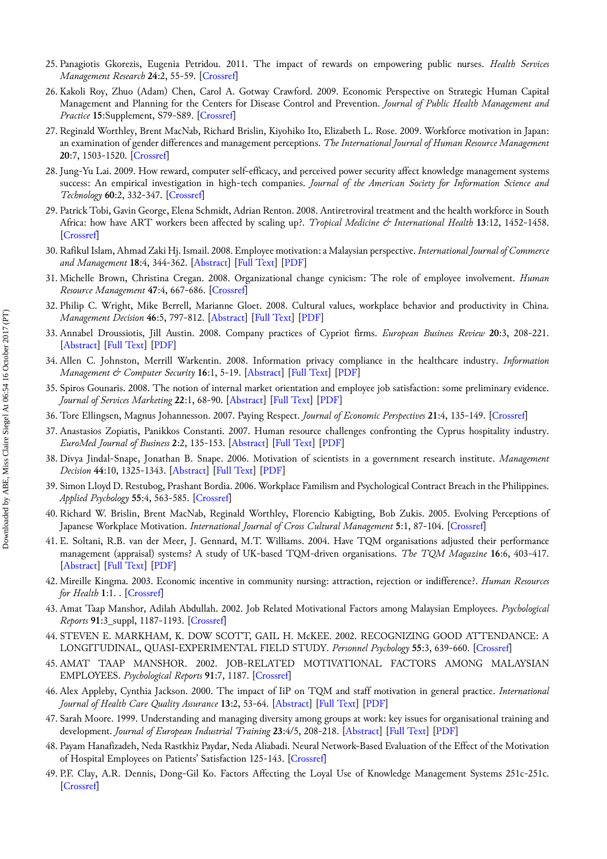- 25. Panagiotis Gkorezis, Eugenia Petridou. 2011. The impact of rewards on empowering public nurses. *Health Services Management Research* **24**:2, 55-59. [\[Crossref](https://doi.org/10.1258/hsmr.2010.010004)]
- 26. Kakoli Roy, Zhuo (Adam) Chen, Carol A. Gotway Crawford. 2009. Economic Perspective on Strategic Human Capital Management and Planning for the Centers for Disease Control and Prevention. *Journal of Public Health Management and Practice* **15**:Supplement, S79-S89. [\[Crossref](https://doi.org/10.1097/PHH.0b013e3181b76813)]
- 27. Reginald Worthley, Brent MacNab, Richard Brislin, Kiyohiko Ito, Elizabeth L. Rose. 2009. Workforce motivation in Japan: an examination of gender differences and management perceptions. *The International Journal of Human Resource Management* **20**:7, 1503-1520. [[Crossref\]](https://doi.org/10.1080/09585190902983421)
- 28. Jung-Yu Lai. 2009. How reward, computer self-efficacy, and perceived power security affect knowledge management systems success: An empirical investigation in high-tech companies. *Journal of the American Society for Information Science and Technology* **60**:2, 332-347. [[Crossref\]](https://doi.org/10.1002/asi.20982)
- 29. Patrick Tobi, Gavin George, Elena Schmidt, Adrian Renton. 2008. Antiretroviral treatment and the health workforce in South Africa: how have ART workers been affected by scaling up?. *Tropical Medicine & International Health* **13**:12, 1452-1458. [\[Crossref](https://doi.org/10.1111/j.1365-3156.2008.02169.x)]
- 30. Rafikul Islam, Ahmad Zaki Hj. Ismail. 2008. Employee motivation: a Malaysian perspective. *International Journal of Commerce and Management* **18**:4, 344-362. [\[Abstract](https://doi.org/10.1108/10569210810921960)] [[Full Text\]](http://www.emeraldinsight.com/doi/full/10.1108/10569210810921960) [[PDF\]](http://www.emeraldinsight.com/doi/pdfplus/10.1108/10569210810921960)
- 31. Michelle Brown, Christina Cregan. 2008. Organizational change cynicism: The role of employee involvement. *Human Resource Management* **47**:4, 667-686. [[Crossref\]](https://doi.org/10.1002/hrm.20239)
- 32. Philip C. Wright, Mike Berrell, Marianne Gloet. 2008. Cultural values, workplace behavior and productivity in China. *Management Decision* **46**:5, 797-812. [[Abstract\]](https://doi.org/10.1108/00251740810873770) [[Full Text\]](http://www.emeraldinsight.com/doi/full/10.1108/00251740810873770) [[PDF](http://www.emeraldinsight.com/doi/pdfplus/10.1108/00251740810873770)]
- 33. Annabel Droussiotis, Jill Austin. 2008. Company practices of Cypriot firms. *European Business Review* **20**:3, 208-221. [\[Abstract](https://doi.org/10.1108/09555340810871419)] [\[Full Text](http://www.emeraldinsight.com/doi/full/10.1108/09555340810871419)] [[PDF\]](http://www.emeraldinsight.com/doi/pdfplus/10.1108/09555340810871419)
- 34. Allen C. Johnston, Merrill Warkentin. 2008. Information privacy compliance in the healthcare industry. *Information Management & Computer Security* **16**:1, 5-19. [[Abstract\]](https://doi.org/10.1108/09685220810862715) [\[Full Text](http://www.emeraldinsight.com/doi/full/10.1108/09685220810862715)] [\[PDF](http://www.emeraldinsight.com/doi/pdfplus/10.1108/09685220810862715)]
- 35. Spiros Gounaris. 2008. The notion of internal market orientation and employee job satisfaction: some preliminary evidence. *Journal of Services Marketing* **22**:1, 68-90. [[Abstract\]](https://doi.org/10.1108/08876040810851978) [[Full Text\]](http://www.emeraldinsight.com/doi/full/10.1108/08876040810851978) [[PDF](http://www.emeraldinsight.com/doi/pdfplus/10.1108/08876040810851978)]
- 36. Tore Ellingsen, Magnus Johannesson. 2007. Paying Respect. *Journal of Economic Perspectives* **21**:4, 135-149. [\[Crossref](https://doi.org/10.1257/jep.21.4.135)]
- 37. Anastasios Zopiatis, Panikkos Constanti. 2007. Human resource challenges confronting the Cyprus hospitality industry. *EuroMed Journal of Business* **2**:2, 135-153. [\[Abstract](https://doi.org/10.1108/14502190710826022)] [[Full Text\]](http://www.emeraldinsight.com/doi/full/10.1108/14502190710826022) [[PDF\]](http://www.emeraldinsight.com/doi/pdfplus/10.1108/14502190710826022)
- 38.Divya Jindal‐Snape, Jonathan B. Snape. 2006. Motivation of scientists in a government research institute. *Management Decision* **44**:10, 1325-1343. [\[Abstract](https://doi.org/10.1108/00251740610715678)] [[Full Text\]](http://www.emeraldinsight.com/doi/full/10.1108/00251740610715678) [[PDF\]](http://www.emeraldinsight.com/doi/pdfplus/10.1108/00251740610715678)
- 39. Simon Lloyd D. Restubog, Prashant Bordia. 2006. Workplace Familism and Psychological Contract Breach in the Philippines. *Applied Psychology* **55**:4, 563-585. [\[Crossref](https://doi.org/10.1111/j.1464-0597.2006.00245.x)]
- 40. Richard W. Brislin, Brent MacNab, Reginald Worthley, Florencio Kabigting, Bob Zukis. 2005. Evolving Perceptions of Japanese Workplace Motivation. *International Journal of Cross Cultural Management* **5**:1, 87-104. [[Crossref\]](https://doi.org/10.1177/1470595805050829)
- 41. E. Soltani, R.B. van der Meer, J. Gennard, M.T. Williams. 2004. Have TQM organisations adjusted their performance management (appraisal) systems? A study of UK‐based TQM‐driven organisations. *The TQM Magazine* **16**:6, 403-417. [\[Abstract](https://doi.org/10.1108/09544780410563329)] [\[Full Text](http://www.emeraldinsight.com/doi/full/10.1108/09544780410563329)] [[PDF\]](http://www.emeraldinsight.com/doi/pdfplus/10.1108/09544780410563329)
- 42. Mireille Kingma. 2003. Economic incentive in community nursing: attraction, rejection or indifference?. *Human Resources for Health* **1**:1. . [\[Crossref](https://doi.org/10.1186/1478-4491-1-2)]
- 43. Amat Taap Manshor, Adilah Abdullah. 2002. Job Related Motivational Factors among Malaysian Employees. *Psychological Reports* **91**:3\_suppl, 1187-1193. [\[Crossref](https://doi.org/10.2466/pr0.2002.91.3f.1187)]
- 44. STEVEN E. MARKHAM, K. DOW SCOTT, GAIL H. McKEE. 2002. RECOGNIZING GOOD ATTENDANCE: A LONGITUDINAL, QUASI-EXPERIMENTAL FIELD STUDY. *Personnel Psychology* **55**:3, 639-660. [[Crossref\]](https://doi.org/10.1111/j.1744-6570.2002.tb00124.x)
- 45. AMAT TAAP MANSHOR. 2002. JOB-RELATED MOTIVATIONAL FACTORS AMONG MALAYSIAN EMPLOYEES. *Psychological Reports* **91**:7, 1187. [\[Crossref\]](https://doi.org/10.2466/PR0.91.7.1187-1193)
- 46. Alex Appleby, Cynthia Jackson. 2000. The impact of IiP on TQM and staff motivation in general practice. *International Journal of Health Care Quality Assurance* **13**:2, 53-64. [[Abstract\]](https://doi.org/10.1108/09526860010319505) [[Full Text\]](http://www.emeraldinsight.com/doi/full/10.1108/09526860010319505) [[PDF](http://www.emeraldinsight.com/doi/pdfplus/10.1108/09526860010319505)]
- 47. Sarah Moore. 1999. Understanding and managing diversity among groups at work: key issues for organisational training and development. *Journal of European Industrial Training* **23**:4/5, 208-218. [[Abstract\]](https://doi.org/10.1108/03090599910272086) [[Full Text\]](http://www.emeraldinsight.com/doi/full/10.1108/03090599910272086) [\[PDF](http://www.emeraldinsight.com/doi/pdfplus/10.1108/03090599910272086)]
- 48. Payam Hanafizadeh, Neda Rastkhiz Paydar, Neda Aliabadi. Neural Network-Based Evaluation of the Effect of the Motivation of Hospital Employees on Patients' Satisfaction 125-143. [\[Crossref](https://doi.org/10.4018/978-1-4666-1755-1.ch008)]
- 49. P.F. Clay, A.R. Dennis, Dong-Gil Ko. Factors Affecting the Loyal Use of Knowledge Management Systems 251c-251c. [\[Crossref](https://doi.org/10.1109/HICSS.2005.271)]